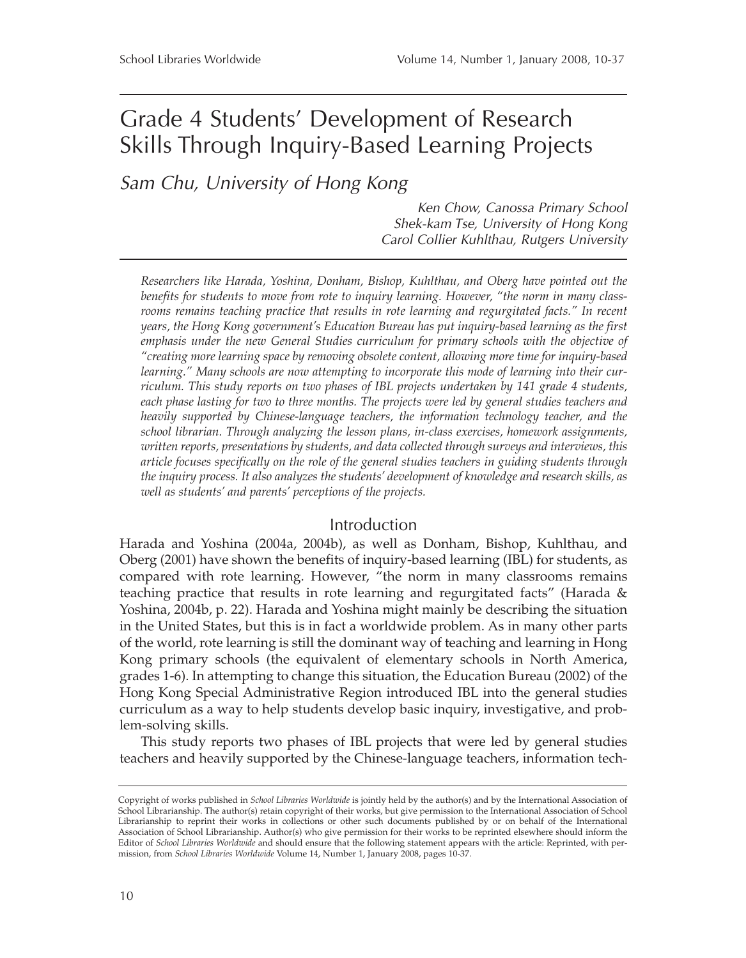# Grade 4 Students' Development of Research Skills Through Inquiry-Based Learning Projects

*Sam Chu, University of Hong Kong*

*Ken Chow, Canossa Primary School Shek-kam Tse, University of Hong Kong Carol Collier Kuhlthau, Rutgers University*

*Researchers like Harada, Yoshina, Donham, Bishop, Kuhlthau, and Oberg have pointed out the benefits for students to move from rote to inquiry learning. However, "the norm in many classrooms remains teaching practice that results in rote learning and regurgitated facts." In recent years, the Hong Kong government's Education Bureau has put inquiry-based learning as the first emphasis under the new General Studies curriculum for primary schools with the objective of "creating more learning space by removing obsolete content, allowing more time for inquiry-based learning." Many schools are now attempting to incorporate this mode of learning into their curriculum. This study reports on two phases of IBL projects undertaken by 141 grade 4 students, each phase lasting for two to three months. The projects were led by general studies teachers and heavily supported by Chinese-language teachers, the information technology teacher, and the school librarian. Through analyzing the lesson plans, in-class exercises, homework assignments, written reports, presentations by students, and data collected through surveys and interviews, this article focuses specifically on the role of the general studies teachers in guiding students through the inquiry process. It also analyzes the students' development of knowledge and research skills, as well as students' and parents' perceptions of the projects.*

#### Introduction

Harada and Yoshina (2004a, 2004b), as well as Donham, Bishop, Kuhlthau, and Oberg (2001) have shown the benefits of inquiry-based learning (IBL) for students, as compared with rote learning. However, "the norm in many classrooms remains teaching practice that results in rote learning and regurgitated facts" (Harada & Yoshina, 2004b, p. 22). Harada and Yoshina might mainly be describing the situation in the United States, but this is in fact a worldwide problem. As in many other parts of the world, rote learning is still the dominant way of teaching and learning in Hong Kong primary schools (the equivalent of elementary schools in North America, grades 1-6). In attempting to change this situation, the Education Bureau (2002) of the Hong Kong Special Administrative Region introduced IBL into the general studies curriculum as a way to help students develop basic inquiry, investigative, and problem-solving skills.

This study reports two phases of IBL projects that were led by general studies teachers and heavily supported by the Chinese-language teachers, information tech-

Copyright of works published in *School Libraries Worldwide* is jointly held by the author(s) and by the International Association of School Librarianship. The author(s) retain copyright of their works, but give permission to the International Association of School Librarianship to reprint their works in collections or other such documents published by or on behalf of the International Association of School Librarianship. Author(s) who give permission for their works to be reprinted elsewhere should inform the Editor of *School Libraries Worldwide* and should ensure that the following statement appears with the article: Reprinted, with permission, from *School Libraries Worldwide* Volume 14, Number 1, January 2008, pages 10-37.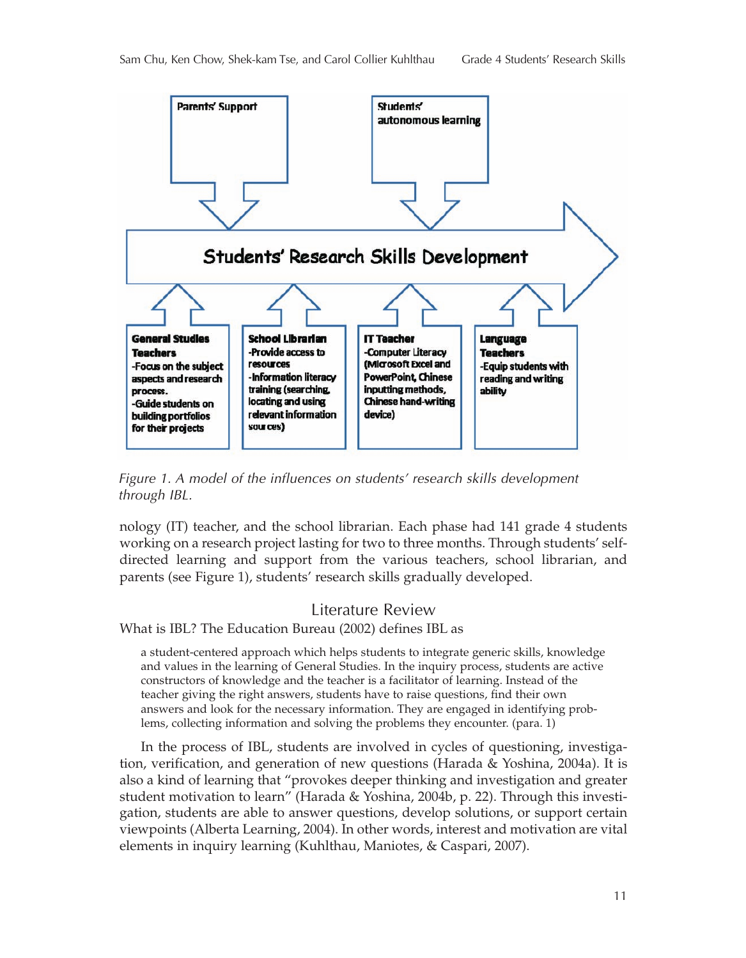

*Figure 1. A model of the influences on students' research skills development through IBL.*

nology (IT) teacher, and the school librarian. Each phase had 141 grade 4 students working on a research project lasting for two to three months. Through students' selfdirected learning and support from the various teachers, school librarian, and parents (see Figure 1), students' research skills gradually developed.

#### Literature Review

What is IBL? The Education Bureau (2002) defines IBL as

a student-centered approach which helps students to integrate generic skills, knowledge and values in the learning of General Studies. In the inquiry process, students are active constructors of knowledge and the teacher is a facilitator of learning. Instead of the teacher giving the right answers, students have to raise questions, find their own answers and look for the necessary information. They are engaged in identifying problems, collecting information and solving the problems they encounter. (para. 1)

In the process of IBL, students are involved in cycles of questioning, investigation, verification, and generation of new questions (Harada & Yoshina, 2004a). It is also a kind of learning that "provokes deeper thinking and investigation and greater student motivation to learn" (Harada & Yoshina, 2004b, p. 22). Through this investigation, students are able to answer questions, develop solutions, or support certain viewpoints (Alberta Learning, 2004). In other words, interest and motivation are vital elements in inquiry learning (Kuhlthau, Maniotes, & Caspari, 2007).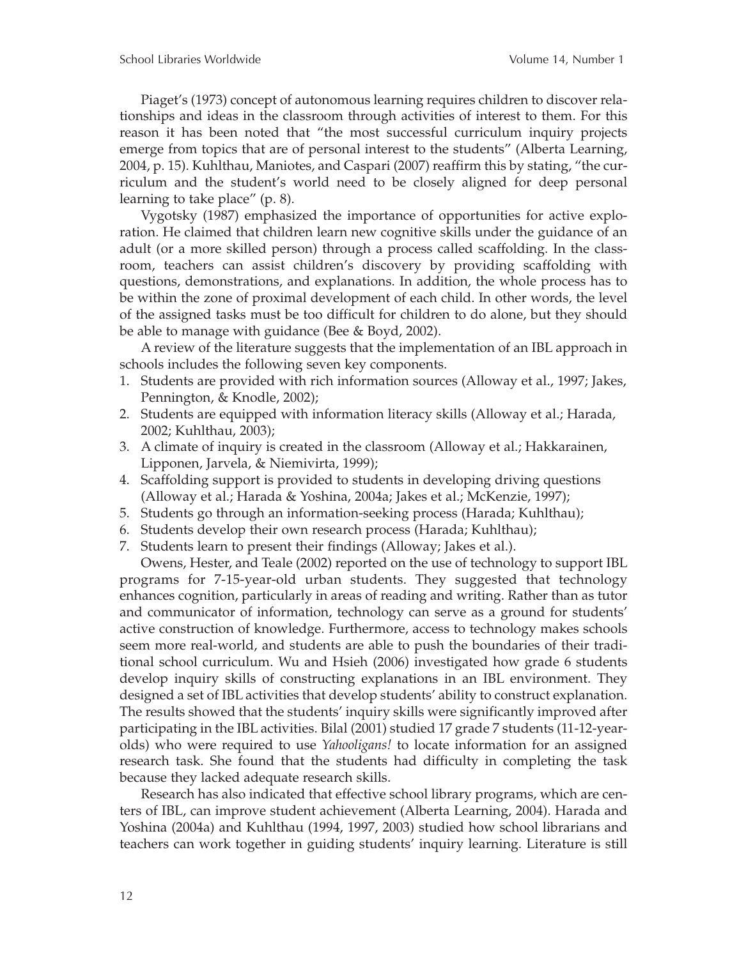Piaget's (1973) concept of autonomous learning requires children to discover relationships and ideas in the classroom through activities of interest to them. For this reason it has been noted that "the most successful curriculum inquiry projects emerge from topics that are of personal interest to the students" (Alberta Learning, 2004, p. 15). Kuhlthau, Maniotes, and Caspari (2007) reaffirm this by stating, "the curriculum and the student's world need to be closely aligned for deep personal learning to take place" (p. 8).

Vygotsky (1987) emphasized the importance of opportunities for active exploration. He claimed that children learn new cognitive skills under the guidance of an adult (or a more skilled person) through a process called scaffolding. In the classroom, teachers can assist children's discovery by providing scaffolding with questions, demonstrations, and explanations. In addition, the whole process has to be within the zone of proximal development of each child. In other words, the level of the assigned tasks must be too difficult for children to do alone, but they should be able to manage with guidance (Bee & Boyd, 2002).

A review of the literature suggests that the implementation of an IBL approach in schools includes the following seven key components.

- 1. Students are provided with rich information sources (Alloway et al., 1997; Jakes, Pennington, & Knodle, 2002);
- 2. Students are equipped with information literacy skills (Alloway et al.; Harada, 2002; Kuhlthau, 2003);
- 3. A climate of inquiry is created in the classroom (Alloway et al.; Hakkarainen, Lipponen, Jarvela, & Niemivirta, 1999);
- 4. Scaffolding support is provided to students in developing driving questions (Alloway et al.; Harada & Yoshina, 2004a; Jakes et al.; McKenzie, 1997);
- 5. Students go through an information-seeking process (Harada; Kuhlthau);
- 6. Students develop their own research process (Harada; Kuhlthau);
- 7. Students learn to present their findings (Alloway; Jakes et al.).

Owens, Hester, and Teale (2002) reported on the use of technology to support IBL programs for 7-15-year-old urban students. They suggested that technology enhances cognition, particularly in areas of reading and writing. Rather than as tutor and communicator of information, technology can serve as a ground for students' active construction of knowledge. Furthermore, access to technology makes schools seem more real-world, and students are able to push the boundaries of their traditional school curriculum. Wu and Hsieh (2006) investigated how grade 6 students develop inquiry skills of constructing explanations in an IBL environment. They designed a set of IBL activities that develop students' ability to construct explanation. The results showed that the students' inquiry skills were significantly improved after participating in the IBL activities. Bilal (2001) studied 17 grade 7 students (11-12-yearolds) who were required to use *Yahooligans!* to locate information for an assigned research task. She found that the students had difficulty in completing the task because they lacked adequate research skills.

Research has also indicated that effective school library programs, which are centers of IBL, can improve student achievement (Alberta Learning, 2004). Harada and Yoshina (2004a) and Kuhlthau (1994, 1997, 2003) studied how school librarians and teachers can work together in guiding students' inquiry learning. Literature is still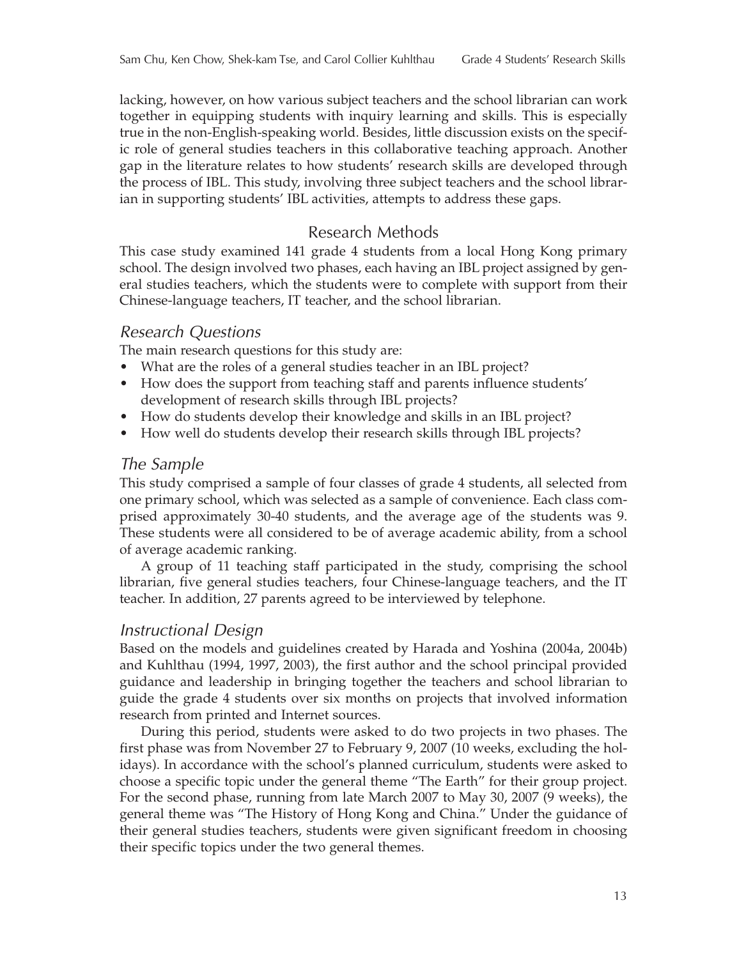lacking, however, on how various subject teachers and the school librarian can work together in equipping students with inquiry learning and skills. This is especially true in the non-English-speaking world. Besides, little discussion exists on the specific role of general studies teachers in this collaborative teaching approach. Another gap in the literature relates to how students' research skills are developed through the process of IBL. This study, involving three subject teachers and the school librarian in supporting students' IBL activities, attempts to address these gaps.

## Research Methods

This case study examined 141 grade 4 students from a local Hong Kong primary school. The design involved two phases, each having an IBL project assigned by general studies teachers, which the students were to complete with support from their Chinese-language teachers, IT teacher, and the school librarian.

### *Research Questions*

The main research questions for this study are:

- What are the roles of a general studies teacher in an IBL project?
- How does the support from teaching staff and parents influence students' development of research skills through IBL projects?
- How do students develop their knowledge and skills in an IBL project?
- How well do students develop their research skills through IBL projects?

## *The Sample*

This study comprised a sample of four classes of grade 4 students, all selected from one primary school, which was selected as a sample of convenience. Each class comprised approximately 30-40 students, and the average age of the students was 9. These students were all considered to be of average academic ability, from a school of average academic ranking.

A group of 11 teaching staff participated in the study, comprising the school librarian, five general studies teachers, four Chinese-language teachers, and the IT teacher. In addition, 27 parents agreed to be interviewed by telephone.

## *Instructional Design*

Based on the models and guidelines created by Harada and Yoshina (2004a, 2004b) and Kuhlthau (1994, 1997, 2003), the first author and the school principal provided guidance and leadership in bringing together the teachers and school librarian to guide the grade 4 students over six months on projects that involved information research from printed and Internet sources.

During this period, students were asked to do two projects in two phases. The first phase was from November 27 to February 9, 2007 (10 weeks, excluding the holidays). In accordance with the school's planned curriculum, students were asked to choose a specific topic under the general theme "The Earth" for their group project. For the second phase, running from late March 2007 to May 30, 2007 (9 weeks), the general theme was "The History of Hong Kong and China." Under the guidance of their general studies teachers, students were given significant freedom in choosing their specific topics under the two general themes.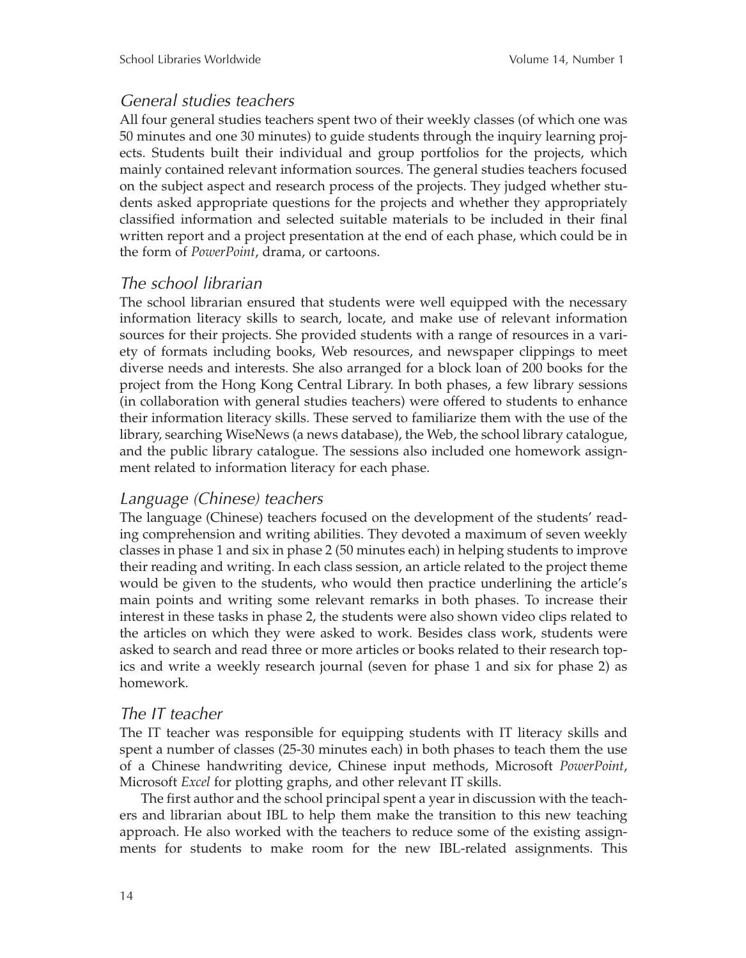### *General studies teachers*

All four general studies teachers spent two of their weekly classes (of which one was 50 minutes and one 30 minutes) to guide students through the inquiry learning projects. Students built their individual and group portfolios for the projects, which mainly contained relevant information sources. The general studies teachers focused on the subject aspect and research process of the projects. They judged whether students asked appropriate questions for the projects and whether they appropriately classified information and selected suitable materials to be included in their final written report and a project presentation at the end of each phase, which could be in the form of *PowerPoint*, drama, or cartoons.

### *The school librarian*

The school librarian ensured that students were well equipped with the necessary information literacy skills to search, locate, and make use of relevant information sources for their projects. She provided students with a range of resources in a variety of formats including books, Web resources, and newspaper clippings to meet diverse needs and interests. She also arranged for a block loan of 200 books for the project from the Hong Kong Central Library. In both phases, a few library sessions (in collaboration with general studies teachers) were offered to students to enhance their information literacy skills. These served to familiarize them with the use of the library, searching WiseNews (a news database), the Web, the school library catalogue, and the public library catalogue. The sessions also included one homework assignment related to information literacy for each phase.

## *Language (Chinese) teachers*

The language (Chinese) teachers focused on the development of the students' reading comprehension and writing abilities. They devoted a maximum of seven weekly classes in phase 1 and six in phase 2 (50 minutes each) in helping students to improve their reading and writing. In each class session, an article related to the project theme would be given to the students, who would then practice underlining the article's main points and writing some relevant remarks in both phases. To increase their interest in these tasks in phase 2, the students were also shown video clips related to the articles on which they were asked to work. Besides class work, students were asked to search and read three or more articles or books related to their research topics and write a weekly research journal (seven for phase 1 and six for phase 2) as homework.

## *The IT teacher*

The IT teacher was responsible for equipping students with IT literacy skills and spent a number of classes (25-30 minutes each) in both phases to teach them the use of a Chinese handwriting device, Chinese input methods, Microsoft *PowerPoint*, Microsoft *Excel* for plotting graphs, and other relevant IT skills.

The first author and the school principal spent a year in discussion with the teachers and librarian about IBL to help them make the transition to this new teaching approach. He also worked with the teachers to reduce some of the existing assignments for students to make room for the new IBL-related assignments. This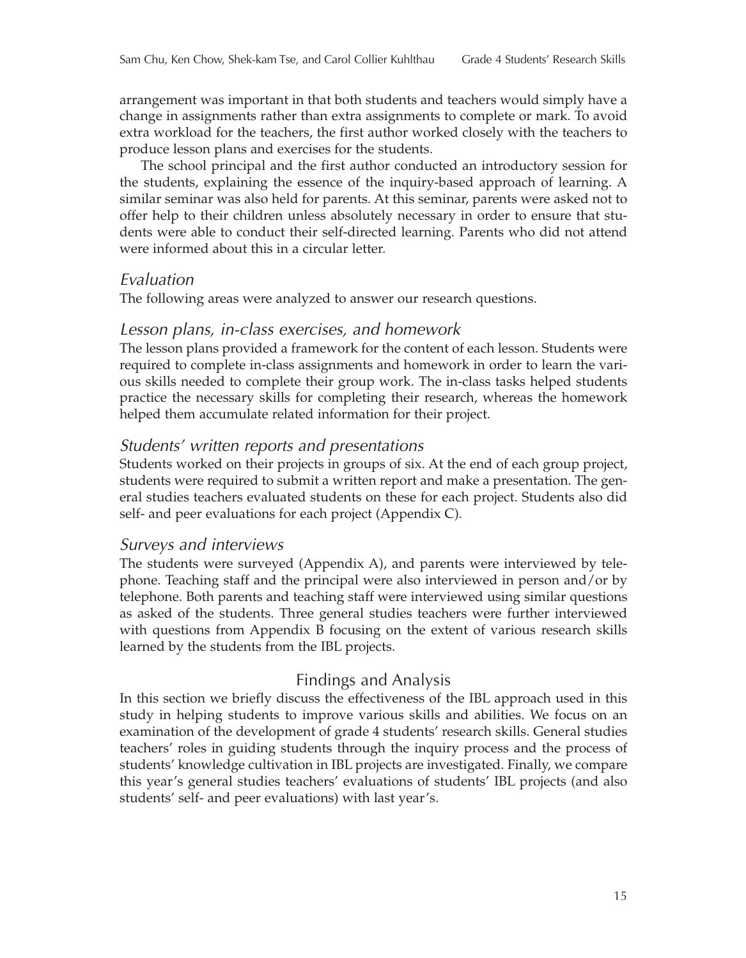arrangement was important in that both students and teachers would simply have a change in assignments rather than extra assignments to complete or mark. To avoid extra workload for the teachers, the first author worked closely with the teachers to produce lesson plans and exercises for the students.

The school principal and the first author conducted an introductory session for the students, explaining the essence of the inquiry-based approach of learning. A similar seminar was also held for parents. At this seminar, parents were asked not to offer help to their children unless absolutely necessary in order to ensure that students were able to conduct their self-directed learning. Parents who did not attend were informed about this in a circular letter.

#### *Evaluation*

The following areas were analyzed to answer our research questions.

#### *Lesson plans, in-class exercises, and homework*

The lesson plans provided a framework for the content of each lesson. Students were required to complete in-class assignments and homework in order to learn the various skills needed to complete their group work. The in-class tasks helped students practice the necessary skills for completing their research, whereas the homework helped them accumulate related information for their project.

#### *Students' written reports and presentations*

Students worked on their projects in groups of six. At the end of each group project, students were required to submit a written report and make a presentation. The general studies teachers evaluated students on these for each project. Students also did self- and peer evaluations for each project (Appendix C).

#### *Surveys and interviews*

The students were surveyed (Appendix A), and parents were interviewed by telephone. Teaching staff and the principal were also interviewed in person and/or by telephone. Both parents and teaching staff were interviewed using similar questions as asked of the students. Three general studies teachers were further interviewed with questions from Appendix B focusing on the extent of various research skills learned by the students from the IBL projects.

#### Findings and Analysis

In this section we briefly discuss the effectiveness of the IBL approach used in this study in helping students to improve various skills and abilities. We focus on an examination of the development of grade 4 students' research skills. General studies teachers' roles in guiding students through the inquiry process and the process of students' knowledge cultivation in IBL projects are investigated. Finally, we compare this year's general studies teachers' evaluations of students' IBL projects (and also students' self- and peer evaluations) with last year's.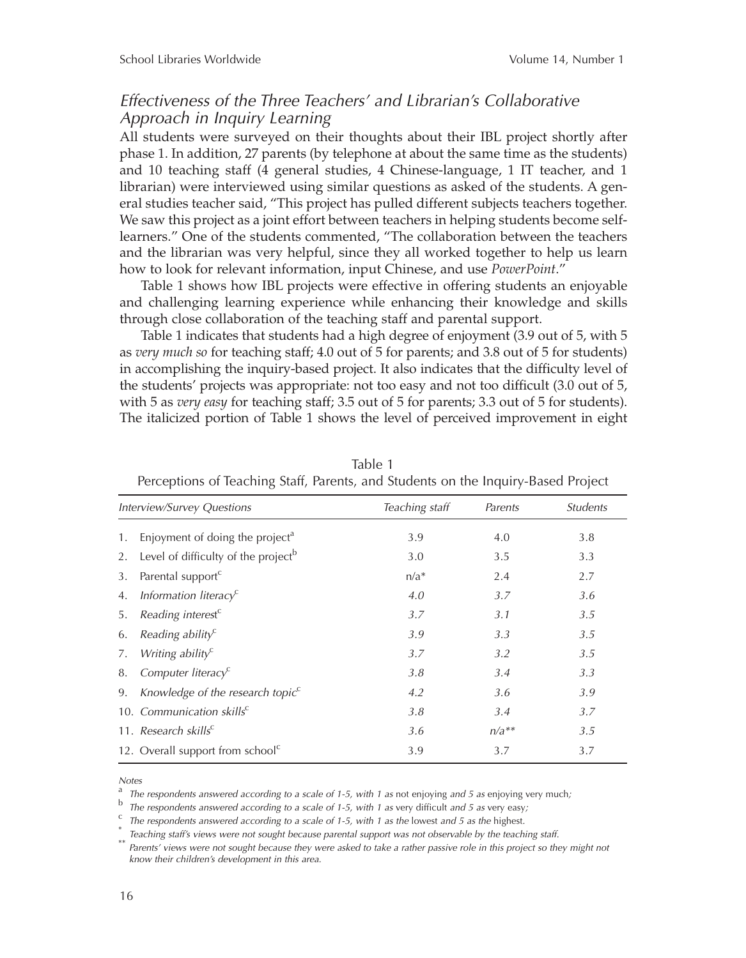## *Effectiveness of the Three Teachers' and Librarian's Collaborative Approach in Inquiry Learning*

All students were surveyed on their thoughts about their IBL project shortly after phase 1. In addition, 27 parents (by telephone at about the same time as the students) and 10 teaching staff (4 general studies, 4 Chinese-language, 1 IT teacher, and 1 librarian) were interviewed using similar questions as asked of the students. A general studies teacher said, "This project has pulled different subjects teachers together. We saw this project as a joint effort between teachers in helping students become selflearners." One of the students commented, "The collaboration between the teachers and the librarian was very helpful, since they all worked together to help us learn how to look for relevant information, input Chinese, and use *PowerPoint*."

Table 1 shows how IBL projects were effective in offering students an enjoyable and challenging learning experience while enhancing their knowledge and skills through close collaboration of the teaching staff and parental support.

Table 1 indicates that students had a high degree of enjoyment (3.9 out of 5, with 5 as *very much so* for teaching staff; 4.0 out of 5 for parents; and 3.8 out of 5 for students) in accomplishing the inquiry-based project. It also indicates that the difficulty level of the students' projects was appropriate: not too easy and not too difficult (3.0 out of 5, with 5 as *very easy* for teaching staff; 3.5 out of 5 for parents; 3.3 out of 5 for students). The italicized portion of Table 1 shows the level of perceived improvement in eight

|    | Terceptions of reaching stan, rarents, and students on the inquiry based inofect |                |         |                        |
|----|----------------------------------------------------------------------------------|----------------|---------|------------------------|
|    | Interview/Survey Questions                                                       | Teaching staff | Parents | <i><u>Students</u></i> |
| 1. | Enjoyment of doing the project <sup>a</sup>                                      | 3.9            | 4.0     | 3.8                    |
| 2. | Level of difficulty of the project <sup>b</sup>                                  | 3.0            | 3.5     | 3.3                    |
| 3. | Parental support <sup>c</sup>                                                    | $n/a^*$        | 2.4     | 2.7                    |
| 4. | Information literacy <sup>c</sup>                                                | 4.0            | 3.7     | 3.6                    |
| 5. | Reading interest <sup>c</sup>                                                    | 3.7            | 3.1     | 3.5                    |
| 6. | Reading ability <sup><math>c</math></sup>                                        | 3.9            | 3.3     | 3.5                    |
| 7. | Writing ability <sup><math>c</math></sup>                                        | 3.7            | 3.2     | 3.5                    |
| 8. | Computer literacy <sup>c</sup>                                                   | 3.8            | 3.4     | 3.3                    |
| 9. | Knowledge of the research topic $c$                                              | 4.2            | 3.6     | 3.9                    |
|    | 10. Communication skills <sup>c</sup>                                            | 3.8            | 3.4     | 3.7                    |
|    | 11. Research skills <sup>c</sup>                                                 | 3.6            | $n/a**$ | 3.5                    |
|    | 12. Overall support from school <sup>c</sup>                                     | 3.9            | 3.7     | 3.7                    |

Table 1 Perceptions of Teaching Staff, Parents, and Students on the Inquiry-Based Project

*Notes*

<sup>a</sup> *The respondents answered according to a scale of 1-5, with 1 as* not enjoying *and 5 as* enjoying very much*;*

<sup>b</sup> The respondents answered according to a scale of 1-5, with 1 as very difficult and 5 as very easy;<br><sup>c</sup> The respondents answered according to a scale of 1-5, with 1 as the lowest and 5 as the highest.<br><sup>e</sup> Teaching staff *know their children's development in this area.*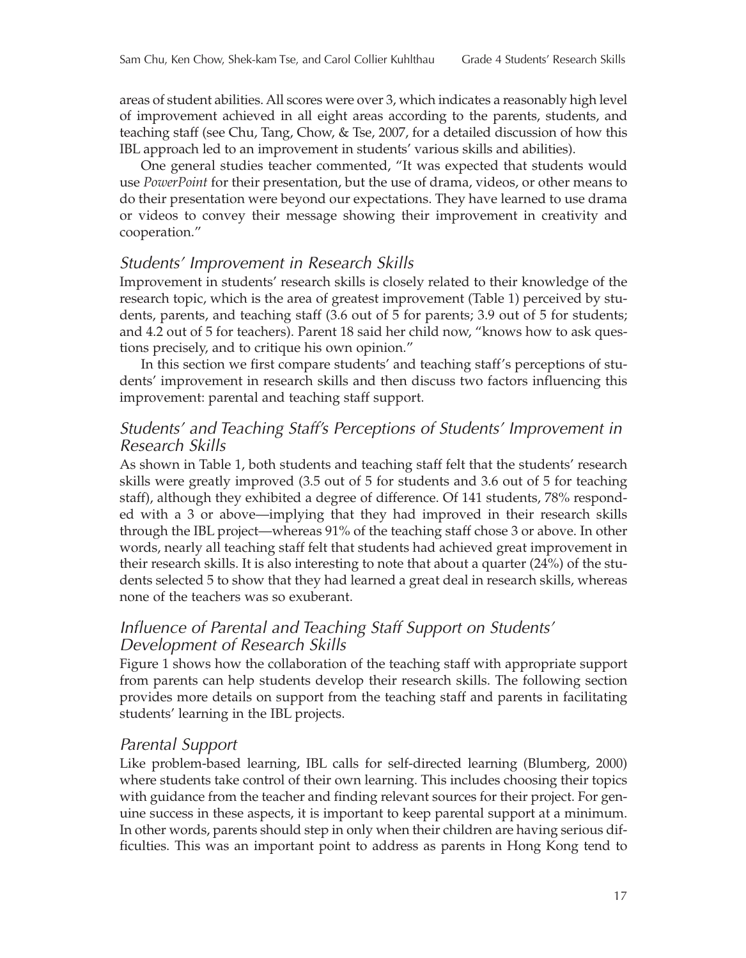areas of student abilities. All scores were over 3, which indicates a reasonably high level of improvement achieved in all eight areas according to the parents, students, and teaching staff (see Chu, Tang, Chow, & Tse, 2007, for a detailed discussion of how this IBL approach led to an improvement in students' various skills and abilities).

One general studies teacher commented, "It was expected that students would use *PowerPoint* for their presentation, but the use of drama, videos, or other means to do their presentation were beyond our expectations. They have learned to use drama or videos to convey their message showing their improvement in creativity and cooperation."

## *Students' Improvement in Research Skills*

Improvement in students' research skills is closely related to their knowledge of the research topic, which is the area of greatest improvement (Table 1) perceived by students, parents, and teaching staff (3.6 out of 5 for parents; 3.9 out of 5 for students; and 4.2 out of 5 for teachers). Parent 18 said her child now, "knows how to ask questions precisely, and to critique his own opinion."

In this section we first compare students' and teaching staff's perceptions of students' improvement in research skills and then discuss two factors influencing this improvement: parental and teaching staff support.

## *Students' and Teaching Staff's Perceptions of Students' Improvement in Research Skills*

As shown in Table 1, both students and teaching staff felt that the students' research skills were greatly improved (3.5 out of 5 for students and 3.6 out of 5 for teaching staff), although they exhibited a degree of difference. Of 141 students, 78% responded with a 3 or above—implying that they had improved in their research skills through the IBL project—whereas 91% of the teaching staff chose 3 or above. In other words, nearly all teaching staff felt that students had achieved great improvement in their research skills. It is also interesting to note that about a quarter (24%) of the students selected 5 to show that they had learned a great deal in research skills, whereas none of the teachers was so exuberant.

## *Influence of Parental and Teaching Staff Support on Students' Development of Research Skills*

Figure 1 shows how the collaboration of the teaching staff with appropriate support from parents can help students develop their research skills. The following section provides more details on support from the teaching staff and parents in facilitating students' learning in the IBL projects.

## *Parental Support*

Like problem-based learning, IBL calls for self-directed learning (Blumberg, 2000) where students take control of their own learning. This includes choosing their topics with guidance from the teacher and finding relevant sources for their project. For genuine success in these aspects, it is important to keep parental support at a minimum. In other words, parents should step in only when their children are having serious difficulties. This was an important point to address as parents in Hong Kong tend to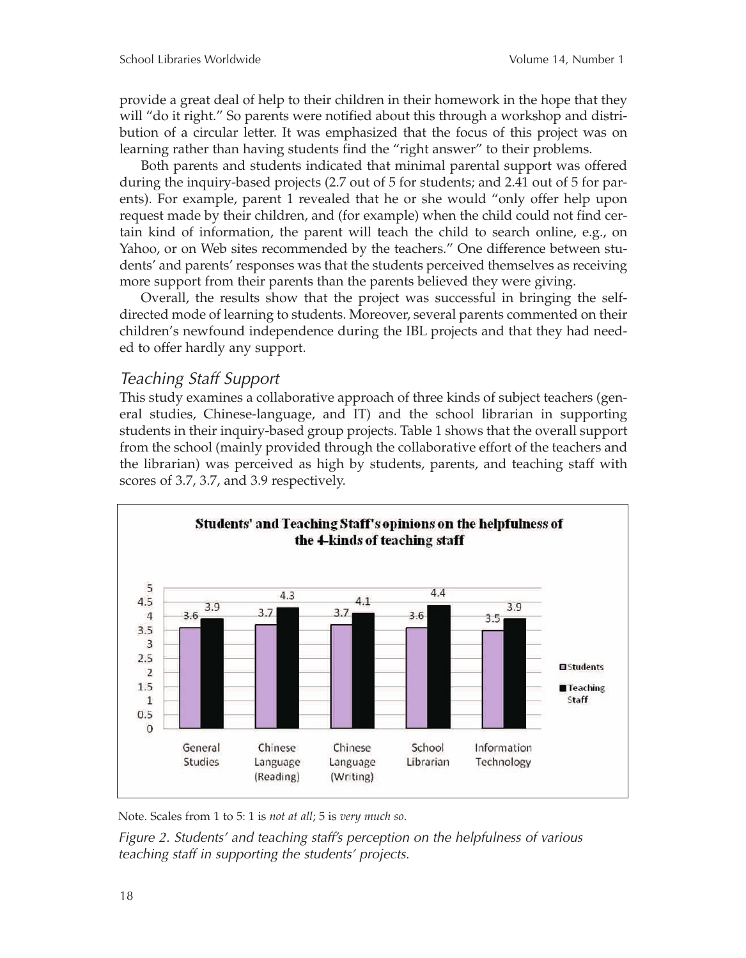provide a great deal of help to their children in their homework in the hope that they will "do it right." So parents were notified about this through a workshop and distribution of a circular letter. It was emphasized that the focus of this project was on learning rather than having students find the "right answer" to their problems.

Both parents and students indicated that minimal parental support was offered during the inquiry-based projects (2.7 out of 5 for students; and 2.41 out of 5 for parents). For example, parent 1 revealed that he or she would "only offer help upon request made by their children, and (for example) when the child could not find certain kind of information, the parent will teach the child to search online, e.g., on Yahoo, or on Web sites recommended by the teachers." One difference between students' and parents' responses was that the students perceived themselves as receiving more support from their parents than the parents believed they were giving.

Overall, the results show that the project was successful in bringing the selfdirected mode of learning to students. Moreover, several parents commented on their children's newfound independence during the IBL projects and that they had needed to offer hardly any support.

## *Teaching Staff Support*

This study examines a collaborative approach of three kinds of subject teachers (general studies, Chinese-language, and IT) and the school librarian in supporting students in their inquiry-based group projects. Table 1 shows that the overall support from the school (mainly provided through the collaborative effort of the teachers and the librarian) was perceived as high by students, parents, and teaching staff with scores of 3.7, 3.7, and 3.9 respectively.



Note. Scales from 1 to 5: 1 is *not at all*; 5 is *very much so*.

*Figure 2. Students' and teaching staff's perception on the helpfulness of various teaching staff in supporting the students' projects.*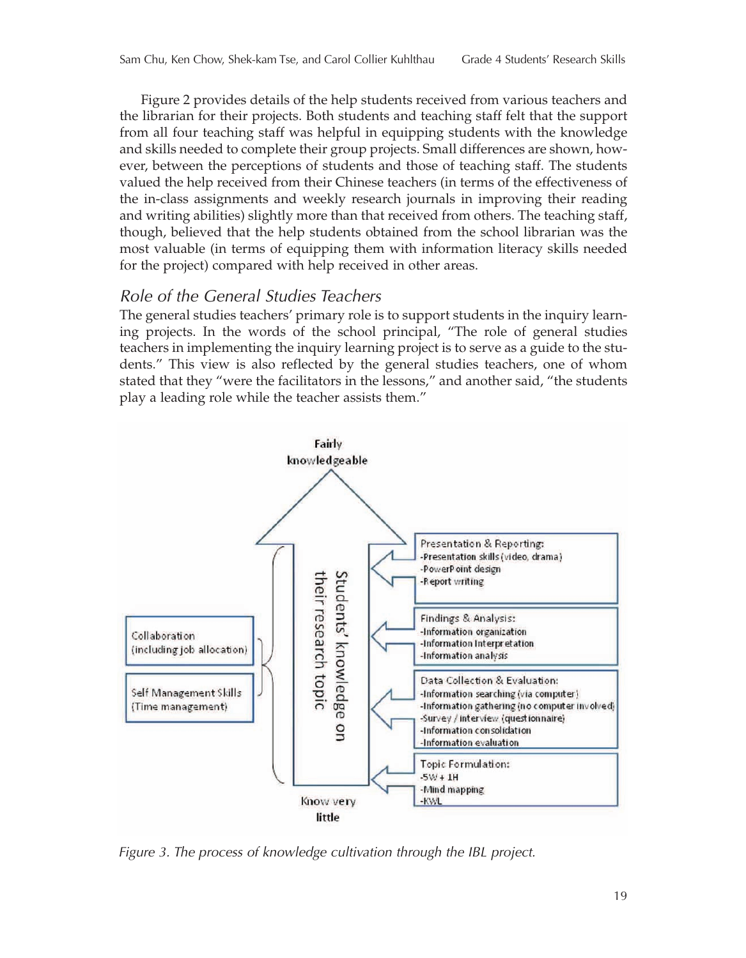Figure 2 provides details of the help students received from various teachers and the librarian for their projects. Both students and teaching staff felt that the support from all four teaching staff was helpful in equipping students with the knowledge and skills needed to complete their group projects. Small differences are shown, however, between the perceptions of students and those of teaching staff. The students valued the help received from their Chinese teachers (in terms of the effectiveness of the in-class assignments and weekly research journals in improving their reading and writing abilities) slightly more than that received from others. The teaching staff, though, believed that the help students obtained from the school librarian was the most valuable (in terms of equipping them with information literacy skills needed for the project) compared with help received in other areas.

## *Role of the General Studies Teachers*

The general studies teachers' primary role is to support students in the inquiry learning projects. In the words of the school principal, "The role of general studies teachers in implementing the inquiry learning project is to serve as a guide to the students." This view is also reflected by the general studies teachers, one of whom stated that they "were the facilitators in the lessons," and another said, "the students play a leading role while the teacher assists them."



*Figure 3. The process of knowledge cultivation through the IBL project.*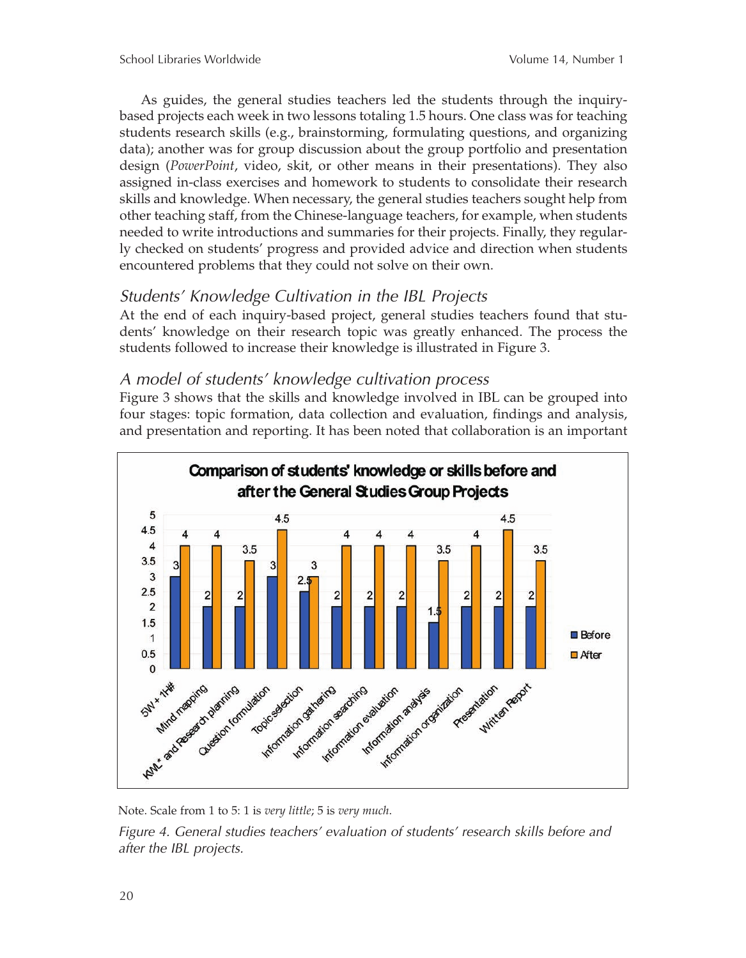As guides, the general studies teachers led the students through the inquirybased projects each week in two lessons totaling 1.5 hours. One class was for teaching students research skills (e.g., brainstorming, formulating questions, and organizing data); another was for group discussion about the group portfolio and presentation design (*PowerPoint*, video, skit, or other means in their presentations). They also assigned in-class exercises and homework to students to consolidate their research skills and knowledge. When necessary, the general studies teachers sought help from other teaching staff, from the Chinese-language teachers, for example, when students needed to write introductions and summaries for their projects. Finally, they regularly checked on students' progress and provided advice and direction when students encountered problems that they could not solve on their own.

## *Students' Knowledge Cultivation in the IBL Projects*

At the end of each inquiry-based project, general studies teachers found that students' knowledge on their research topic was greatly enhanced. The process the students followed to increase their knowledge is illustrated in Figure 3.

## *A model of students' knowledge cultivation process*

Figure 3 shows that the skills and knowledge involved in IBL can be grouped into four stages: topic formation, data collection and evaluation, findings and analysis, and presentation and reporting. It has been noted that collaboration is an important



Note. Scale from 1 to 5: 1 is *very little*; 5 is *very much*.

*Figure 4. General studies teachers' evaluation of students' research skills before and after the IBL projects.*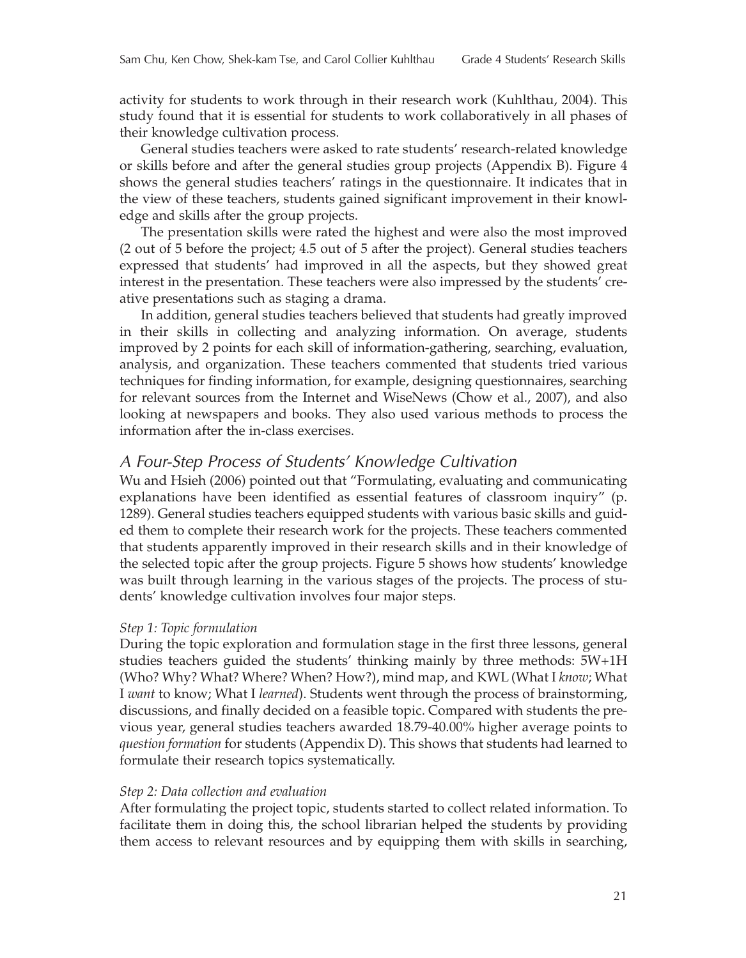activity for students to work through in their research work (Kuhlthau, 2004). This study found that it is essential for students to work collaboratively in all phases of their knowledge cultivation process.

General studies teachers were asked to rate students' research-related knowledge or skills before and after the general studies group projects (Appendix B). Figure 4 shows the general studies teachers' ratings in the questionnaire. It indicates that in the view of these teachers, students gained significant improvement in their knowledge and skills after the group projects.

The presentation skills were rated the highest and were also the most improved (2 out of 5 before the project; 4.5 out of 5 after the project). General studies teachers expressed that students' had improved in all the aspects, but they showed great interest in the presentation. These teachers were also impressed by the students' creative presentations such as staging a drama.

In addition, general studies teachers believed that students had greatly improved in their skills in collecting and analyzing information. On average, students improved by 2 points for each skill of information-gathering, searching, evaluation, analysis, and organization. These teachers commented that students tried various techniques for finding information, for example, designing questionnaires, searching for relevant sources from the Internet and WiseNews (Chow et al., 2007), and also looking at newspapers and books. They also used various methods to process the information after the in-class exercises.

#### *A Four-Step Process of Students' Knowledge Cultivation*

Wu and Hsieh (2006) pointed out that "Formulating, evaluating and communicating explanations have been identified as essential features of classroom inquiry" (p. 1289). General studies teachers equipped students with various basic skills and guided them to complete their research work for the projects. These teachers commented that students apparently improved in their research skills and in their knowledge of the selected topic after the group projects. Figure 5 shows how students' knowledge was built through learning in the various stages of the projects. The process of students' knowledge cultivation involves four major steps.

#### *Step 1: Topic formulation*

During the topic exploration and formulation stage in the first three lessons, general studies teachers guided the students' thinking mainly by three methods: 5W+1H (Who? Why? What? Where? When? How?), mind map, and KWL (What I *know*; What I *want* to know; What I *learned*). Students went through the process of brainstorming, discussions, and finally decided on a feasible topic. Compared with students the previous year, general studies teachers awarded 18.79-40.00% higher average points to *question formation* for students (Appendix D). This shows that students had learned to formulate their research topics systematically.

#### *Step 2: Data collection and evaluation*

After formulating the project topic, students started to collect related information. To facilitate them in doing this, the school librarian helped the students by providing them access to relevant resources and by equipping them with skills in searching,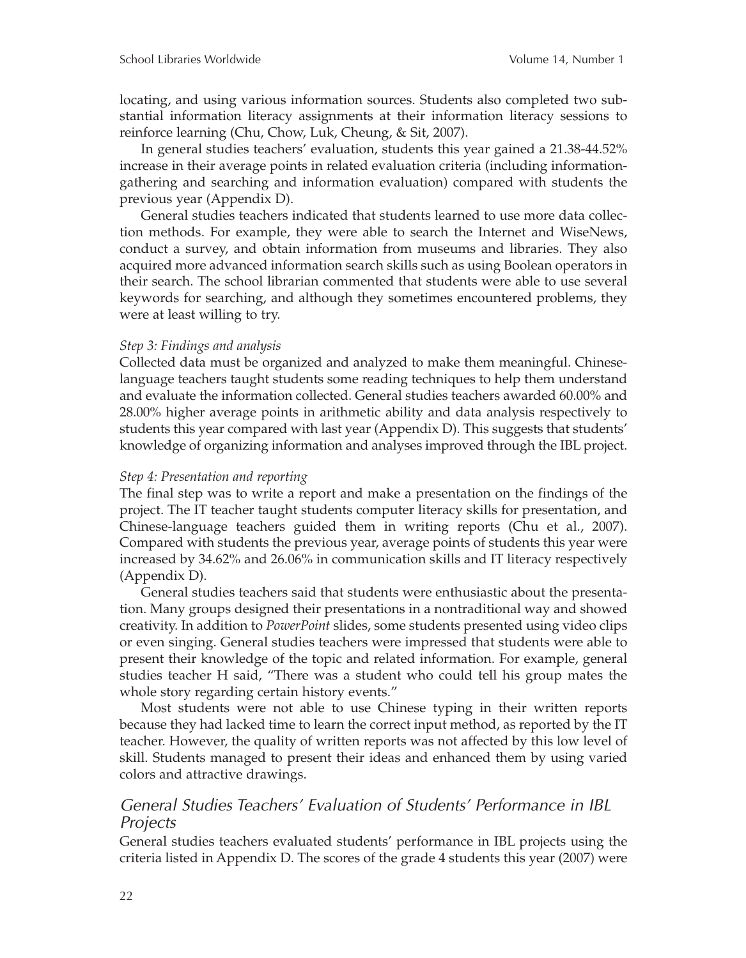locating, and using various information sources. Students also completed two substantial information literacy assignments at their information literacy sessions to reinforce learning (Chu, Chow, Luk, Cheung, & Sit, 2007).

In general studies teachers' evaluation, students this year gained a 21.38-44.52% increase in their average points in related evaluation criteria (including informationgathering and searching and information evaluation) compared with students the previous year (Appendix D).

General studies teachers indicated that students learned to use more data collection methods. For example, they were able to search the Internet and WiseNews, conduct a survey, and obtain information from museums and libraries. They also acquired more advanced information search skills such as using Boolean operators in their search. The school librarian commented that students were able to use several keywords for searching, and although they sometimes encountered problems, they were at least willing to try.

#### *Step 3: Findings and analysis*

Collected data must be organized and analyzed to make them meaningful. Chineselanguage teachers taught students some reading techniques to help them understand and evaluate the information collected. General studies teachers awarded 60.00% and 28.00% higher average points in arithmetic ability and data analysis respectively to students this year compared with last year (Appendix D). This suggests that students' knowledge of organizing information and analyses improved through the IBL project.

#### *Step 4: Presentation and reporting*

The final step was to write a report and make a presentation on the findings of the project. The IT teacher taught students computer literacy skills for presentation, and Chinese-language teachers guided them in writing reports (Chu et al., 2007). Compared with students the previous year, average points of students this year were increased by 34.62% and 26.06% in communication skills and IT literacy respectively (Appendix D).

General studies teachers said that students were enthusiastic about the presentation. Many groups designed their presentations in a nontraditional way and showed creativity. In addition to *PowerPoint* slides, some students presented using video clips or even singing. General studies teachers were impressed that students were able to present their knowledge of the topic and related information. For example, general studies teacher H said, "There was a student who could tell his group mates the whole story regarding certain history events."

Most students were not able to use Chinese typing in their written reports because they had lacked time to learn the correct input method, as reported by the IT teacher. However, the quality of written reports was not affected by this low level of skill. Students managed to present their ideas and enhanced them by using varied colors and attractive drawings.

## *General Studies Teachers' Evaluation of Students' Performance in IBL Projects*

General studies teachers evaluated students' performance in IBL projects using the criteria listed in Appendix D. The scores of the grade 4 students this year (2007) were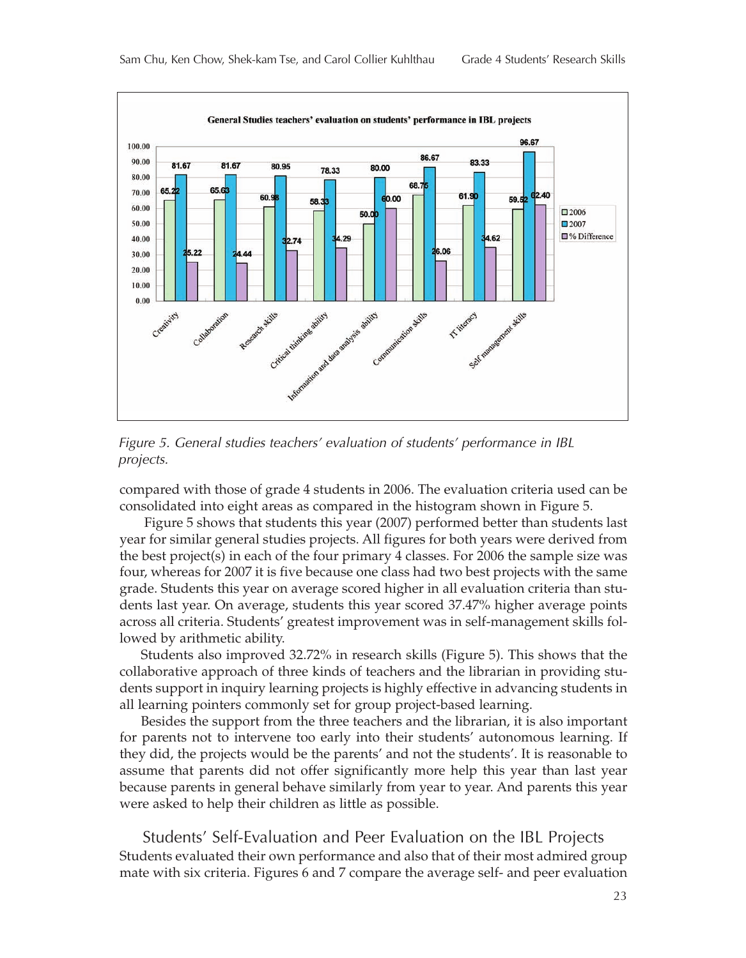

*Figure 5. General studies teachers' evaluation of students' performance in IBL projects.*

compared with those of grade 4 students in 2006. The evaluation criteria used can be consolidated into eight areas as compared in the histogram shown in Figure 5.

Figure 5 shows that students this year (2007) performed better than students last year for similar general studies projects. All figures for both years were derived from the best project(s) in each of the four primary 4 classes. For 2006 the sample size was four, whereas for 2007 it is five because one class had two best projects with the same grade. Students this year on average scored higher in all evaluation criteria than students last year. On average, students this year scored 37.47% higher average points across all criteria. Students' greatest improvement was in self-management skills followed by arithmetic ability.

Students also improved 32.72% in research skills (Figure 5). This shows that the collaborative approach of three kinds of teachers and the librarian in providing students support in inquiry learning projects is highly effective in advancing students in all learning pointers commonly set for group project-based learning.

Besides the support from the three teachers and the librarian, it is also important for parents not to intervene too early into their students' autonomous learning. If they did, the projects would be the parents' and not the students'. It is reasonable to assume that parents did not offer significantly more help this year than last year because parents in general behave similarly from year to year. And parents this year were asked to help their children as little as possible.

Students' Self-Evaluation and Peer Evaluation on the IBL Projects Students evaluated their own performance and also that of their most admired group mate with six criteria. Figures 6 and 7 compare the average self- and peer evaluation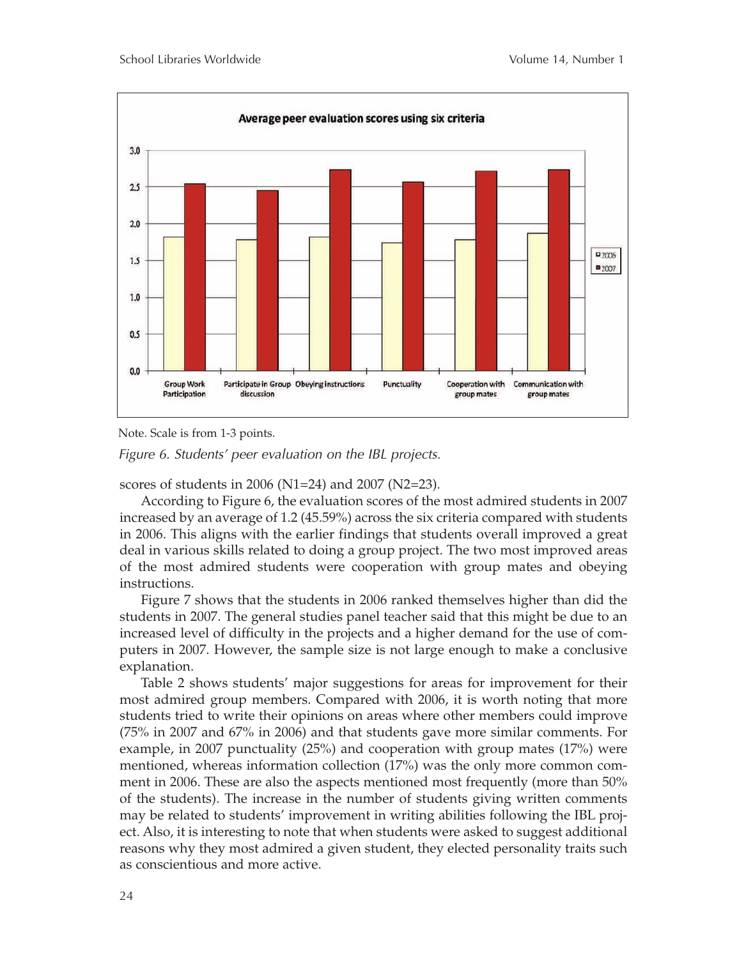

Note. Scale is from 1-3 points.

*Figure 6. Students' peer evaluation on the IBL projects.*

scores of students in 2006 (N1=24) and 2007 (N2=23).

According to Figure 6, the evaluation scores of the most admired students in 2007 increased by an average of 1.2 (45.59%) across the six criteria compared with students in 2006. This aligns with the earlier findings that students overall improved a great deal in various skills related to doing a group project. The two most improved areas of the most admired students were cooperation with group mates and obeying instructions.

Figure 7 shows that the students in 2006 ranked themselves higher than did the students in 2007. The general studies panel teacher said that this might be due to an increased level of difficulty in the projects and a higher demand for the use of computers in 2007. However, the sample size is not large enough to make a conclusive explanation.

Table 2 shows students' major suggestions for areas for improvement for their most admired group members. Compared with 2006, it is worth noting that more students tried to write their opinions on areas where other members could improve (75% in 2007 and 67% in 2006) and that students gave more similar comments. For example, in 2007 punctuality (25%) and cooperation with group mates (17%) were mentioned, whereas information collection (17%) was the only more common comment in 2006. These are also the aspects mentioned most frequently (more than 50% of the students). The increase in the number of students giving written comments may be related to students' improvement in writing abilities following the IBL project. Also, it is interesting to note that when students were asked to suggest additional reasons why they most admired a given student, they elected personality traits such as conscientious and more active.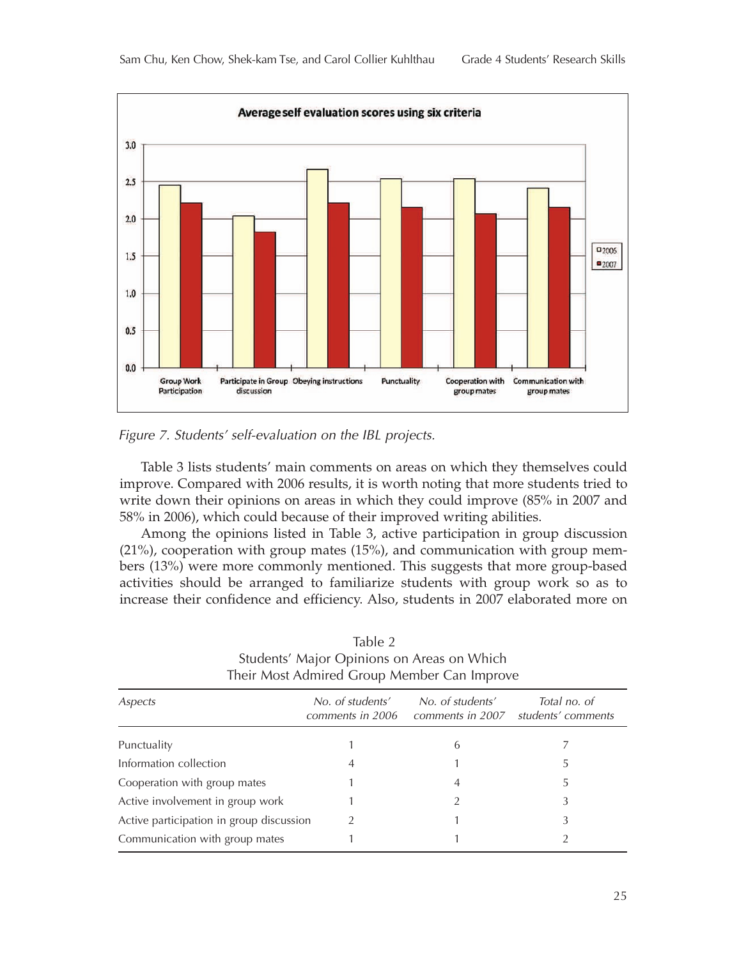

*Figure 7. Students' self-evaluation on the IBL projects.*

Table 3 lists students' main comments on areas on which they themselves could improve. Compared with 2006 results, it is worth noting that more students tried to write down their opinions on areas in which they could improve (85% in 2007 and 58% in 2006), which could because of their improved writing abilities.

Among the opinions listed in Table 3, active participation in group discussion (21%), cooperation with group mates (15%), and communication with group members (13%) were more commonly mentioned. This suggests that more group-based activities should be arranged to familiarize students with group work so as to increase their confidence and efficiency. Also, students in 2007 elaborated more on

| Aspects                                  | No. of students'<br>comments in 2006 | No. of students'<br>comments in 2007 | Total no. of<br>students' comments |
|------------------------------------------|--------------------------------------|--------------------------------------|------------------------------------|
| Punctuality                              |                                      | 6                                    |                                    |
| Information collection                   | 4                                    |                                      |                                    |
| Cooperation with group mates             |                                      |                                      |                                    |
| Active involvement in group work         |                                      |                                      | 3                                  |
| Active participation in group discussion |                                      |                                      | 3                                  |
| Communication with group mates           |                                      |                                      |                                    |

Table 2 Students' Major Opinions on Areas on Which Their Most Admired Group Member Can Improve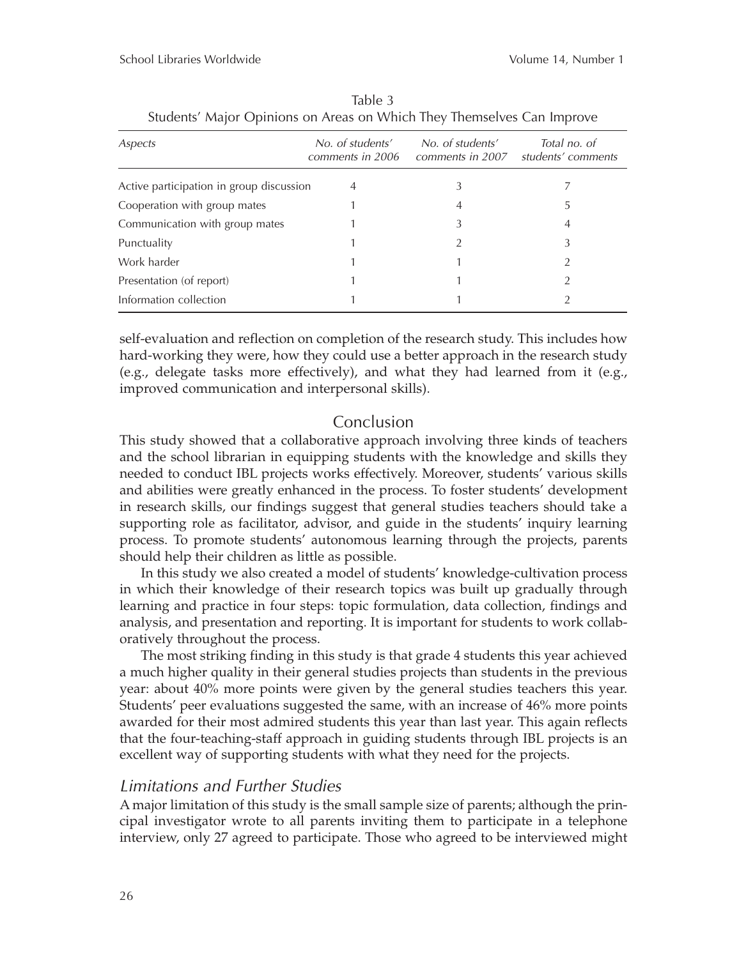| Aspects                                  | No. of students'<br>comments in 2006 | No. of students'<br>comments in 2007 | Total no. of<br>students' comments |
|------------------------------------------|--------------------------------------|--------------------------------------|------------------------------------|
| Active participation in group discussion | 4                                    | 3                                    |                                    |
| Cooperation with group mates             |                                      | 4                                    | 5                                  |
| Communication with group mates           |                                      | 3                                    | 4                                  |
| Punctuality                              |                                      | റ                                    | 3                                  |
| Work harder                              |                                      |                                      |                                    |
| Presentation (of report)                 |                                      |                                      |                                    |
| Information collection                   |                                      |                                      |                                    |

Table 3 Students' Major Opinions on Areas on Which They Themselves Can Improve

self-evaluation and reflection on completion of the research study. This includes how hard-working they were, how they could use a better approach in the research study (e.g., delegate tasks more effectively), and what they had learned from it (e.g., improved communication and interpersonal skills).

#### Conclusion

This study showed that a collaborative approach involving three kinds of teachers and the school librarian in equipping students with the knowledge and skills they needed to conduct IBL projects works effectively. Moreover, students' various skills and abilities were greatly enhanced in the process. To foster students' development in research skills, our findings suggest that general studies teachers should take a supporting role as facilitator, advisor, and guide in the students' inquiry learning process. To promote students' autonomous learning through the projects, parents should help their children as little as possible.

In this study we also created a model of students' knowledge-cultivation process in which their knowledge of their research topics was built up gradually through learning and practice in four steps: topic formulation, data collection, findings and analysis, and presentation and reporting. It is important for students to work collaboratively throughout the process.

The most striking finding in this study is that grade 4 students this year achieved a much higher quality in their general studies projects than students in the previous year: about 40% more points were given by the general studies teachers this year. Students' peer evaluations suggested the same, with an increase of 46% more points awarded for their most admired students this year than last year. This again reflects that the four-teaching-staff approach in guiding students through IBL projects is an excellent way of supporting students with what they need for the projects.

#### *Limitations and Further Studies*

A major limitation of this study is the small sample size of parents; although the principal investigator wrote to all parents inviting them to participate in a telephone interview, only 27 agreed to participate. Those who agreed to be interviewed might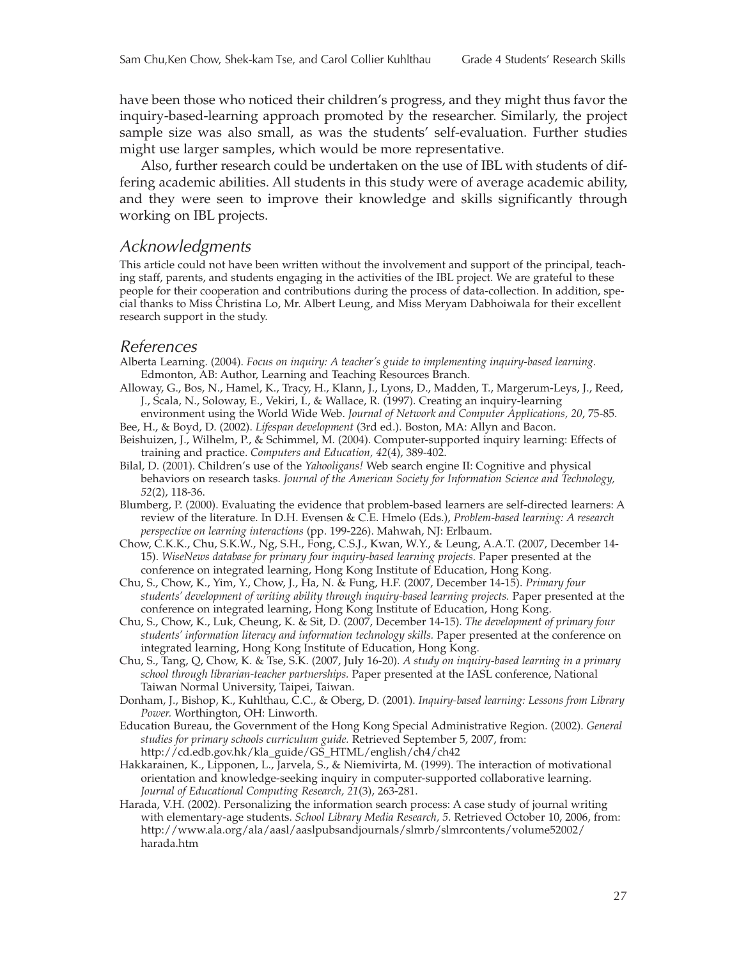have been those who noticed their children's progress, and they might thus favor the inquiry-based-learning approach promoted by the researcher. Similarly, the project sample size was also small, as was the students' self-evaluation. Further studies might use larger samples, which would be more representative.

Also, further research could be undertaken on the use of IBL with students of differing academic abilities. All students in this study were of average academic ability, and they were seen to improve their knowledge and skills significantly through working on IBL projects.

#### *Acknowledgments*

This article could not have been written without the involvement and support of the principal, teaching staff, parents, and students engaging in the activities of the IBL project. We are grateful to these people for their cooperation and contributions during the process of data-collection. In addition, special thanks to Miss Christina Lo, Mr. Albert Leung, and Miss Meryam Dabhoiwala for their excellent research support in the study.

#### *References*

- Alberta Learning. (2004). *Focus on inquiry: A teacher's guide to implementing inquiry-based learning.* Edmonton, AB: Author, Learning and Teaching Resources Branch.
- Alloway, G., Bos, N., Hamel, K., Tracy, H., Klann, J., Lyons, D., Madden, T., Margerum-Leys, J., Reed, J., Scala, N., Soloway, E., Vekiri, I., & Wallace, R. (1997). Creating an inquiry-learning
- environment using the World Wide Web. *Journal of Network and Computer Applications, 20*, 75-85. Bee, H., & Boyd, D. (2002). *Lifespan development* (3rd ed.). Boston, MA: Allyn and Bacon.
- Beishuizen, J., Wilhelm, P., & Schimmel, M. (2004). Computer-supported inquiry learning: Effects of training and practice. *Computers and Education, 42*(4), 389-402.
- Bilal, D. (2001). Children's use of the *Yahooligans!* Web search engine II: Cognitive and physical behaviors on research tasks. *Journal of the American Society for Information Science and Technology, 52*(2), 118-36.
- Blumberg, P. (2000). Evaluating the evidence that problem-based learners are self-directed learners: A review of the literature. In D.H. Evensen & C.E. Hmelo (Eds.), *Problem-based learning: A research perspective on learning interactions* (pp. 199-226). Mahwah, NJ: Erlbaum.
- Chow, C.K.K., Chu, S.K.W., Ng, S.H., Fong, C.S.J., Kwan, W.Y., & Leung, A.A.T. (2007, December 14- 15). *WiseNews database for primary four inquiry-based learning projects.* Paper presented at the conference on integrated learning, Hong Kong Institute of Education, Hong Kong.
- Chu, S., Chow, K., Yim, Y., Chow, J., Ha, N. & Fung, H.F. (2007, December 14-15). *Primary four students' development of writing ability through inquiry-based learning projects.* Paper presented at the conference on integrated learning, Hong Kong Institute of Education, Hong Kong.
- Chu, S., Chow, K., Luk, Cheung, K. & Sit, D. (2007, December 14-15). *The development of primary four students' information literacy and information technology skills.* Paper presented at the conference on integrated learning, Hong Kong Institute of Education, Hong Kong.
- Chu, S., Tang, Q, Chow, K. & Tse, S.K. (2007, July 16-20). *A study on inquiry-based learning in a primary school through librarian-teacher partnerships.* Paper presented at the IASL conference, National Taiwan Normal University, Taipei, Taiwan.
- Donham, J., Bishop, K., Kuhlthau, C.C., & Oberg, D. (2001). *Inquiry-based learning: Lessons from Library Power.* Worthington, OH: Linworth.
- Education Bureau, the Government of the Hong Kong Special Administrative Region. (2002). *General studies for primary schools curriculum guide.* Retrieved September 5, 2007, from: http://cd.edb.gov.hk/kla\_guide/GS\_HTML/english/ch4/ch42
- Hakkarainen, K., Lipponen, L., Jarvela, S., & Niemivirta, M. (1999). The interaction of motivational orientation and knowledge-seeking inquiry in computer-supported collaborative learning. *Journal of Educational Computing Research, 21*(3), 263-281.
- Harada, V.H. (2002). Personalizing the information search process: A case study of journal writing with elementary-age students. *School Library Media Research, 5*. Retrieved October 10, 2006, from: http://www.ala.org/ala/aasl/aaslpubsandjournals/slmrb/slmrcontents/volume52002/ harada.htm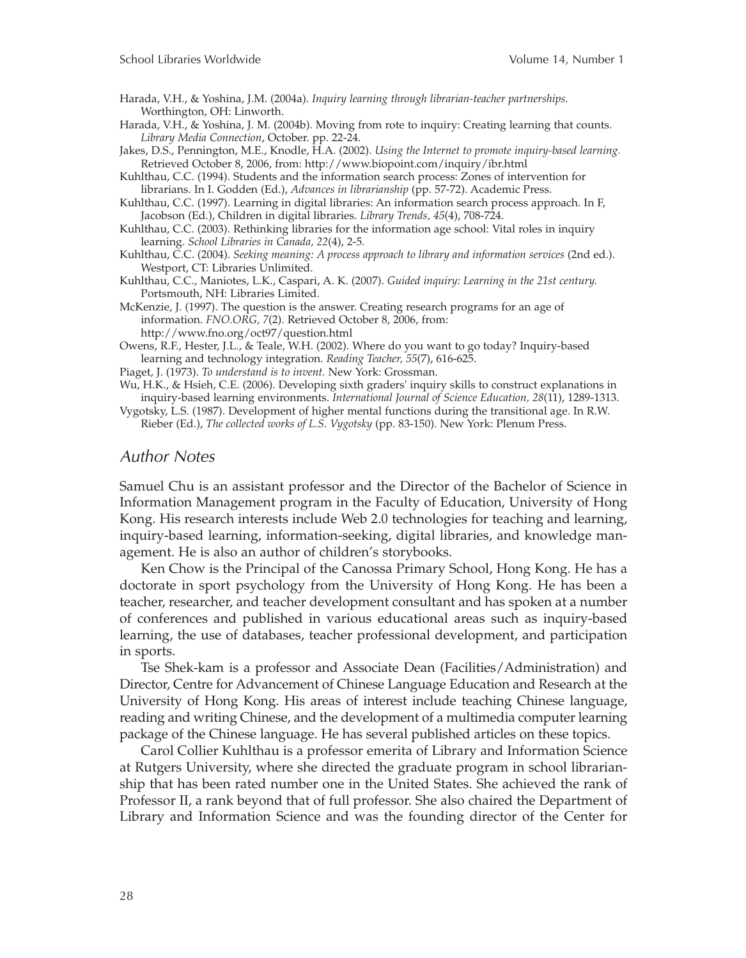Harada, V.H., & Yoshina, J.M. (2004a). *Inquiry learning through librarian-teacher partnerships.* Worthington, OH: Linworth.

Harada, V.H., & Yoshina, J. M. (2004b). Moving from rote to inquiry: Creating learning that counts. *Library Media Connection*, October. pp. 22-24.

Jakes, D.S., Pennington, M.E., Knodle, H.A. (2002). *Using the Internet to promote inquiry-based learning.* Retrieved October 8, 2006, from: http://www.biopoint.com/inquiry/ibr.html

Kuhlthau, C.C. (1994). Students and the information search process: Zones of intervention for librarians. In I. Godden (Ed.), *Advances in librarianship* (pp. 57-72). Academic Press.

Kuhlthau, C.C. (1997). Learning in digital libraries: An information search process approach. In F, Jacobson (Ed.), Children in digital libraries. *Library Trends, 45*(4), 708-724.

Kuhlthau, C.C. (2003). Rethinking libraries for the information age school: Vital roles in inquiry learning. *School Libraries in Canada, 22*(4), 2-5.

Kuhlthau, C.C. (2004). *Seeking meaning: A process approach to library and information services* (2nd ed.). Westport, CT: Libraries Unlimited.

Kuhlthau, C.C., Maniotes, L.K., Caspari, A. K. (2007). *Guided inquiry: Learning in the 21st century.* Portsmouth, NH: Libraries Limited.

McKenzie, J. (1997). The question is the answer. Creating research programs for an age of information. *FNO.ORG, 7*(2). Retrieved October 8, 2006, from: http://www.fno.org/oct97/question.html

Owens, R.F., Hester, J.L., & Teale, W.H. (2002). Where do you want to go today? Inquiry-based learning and technology integration. *Reading Teacher, 55*(7), 616-625.

Piaget, J. (1973). *To understand is to invent.* New York: Grossman.

Wu, H.K., & Hsieh, C.E. (2006). Developing sixth graders' inquiry skills to construct explanations in inquiry-based learning environments. *International Journal of Science Education, 28*(11), 1289-1313.

Vygotsky, L.S. (1987). Development of higher mental functions during the transitional age. In R.W. Rieber (Ed.), *The collected works of L.S. Vygotsky* (pp. 83-150). New York: Plenum Press.

#### *Author Notes*

Samuel Chu is an assistant professor and the Director of the Bachelor of Science in Information Management program in the Faculty of Education, University of Hong Kong. His research interests include Web 2.0 technologies for teaching and learning, inquiry-based learning, information-seeking, digital libraries, and knowledge management. He is also an author of children's storybooks.

Ken Chow is the Principal of the Canossa Primary School, Hong Kong. He has a doctorate in sport psychology from the University of Hong Kong. He has been a teacher, researcher, and teacher development consultant and has spoken at a number of conferences and published in various educational areas such as inquiry-based learning, the use of databases, teacher professional development, and participation in sports.

Tse Shek-kam is a professor and Associate Dean (Facilities/Administration) and Director, Centre for Advancement of Chinese Language Education and Research at the University of Hong Kong. His areas of interest include teaching Chinese language, reading and writing Chinese, and the development of a multimedia computer learning package of the Chinese language. He has several published articles on these topics.

Carol Collier Kuhlthau is a professor emerita of Library and Information Science at Rutgers University, where she directed the graduate program in school librarianship that has been rated number one in the United States. She achieved the rank of Professor II, a rank beyond that of full professor. She also chaired the Department of Library and Information Science and was the founding director of the Center for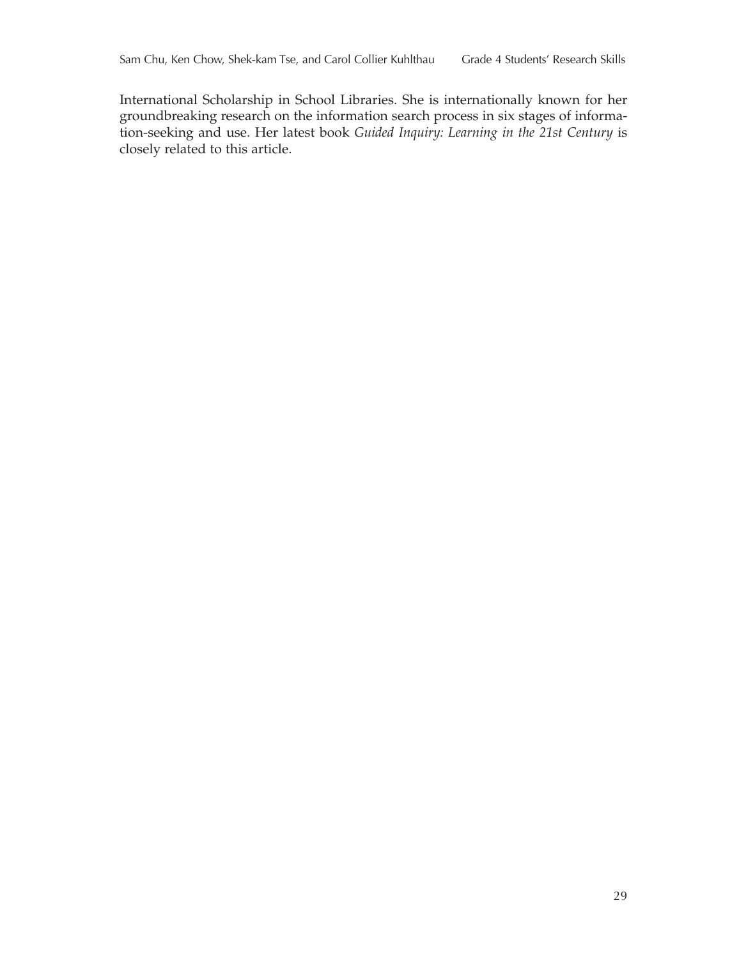International Scholarship in School Libraries. She is internationally known for her groundbreaking research on the information search process in six stages of information-seeking and use. Her latest book *Guided Inquiry: Learning in the 21st Century* is closely related to this article.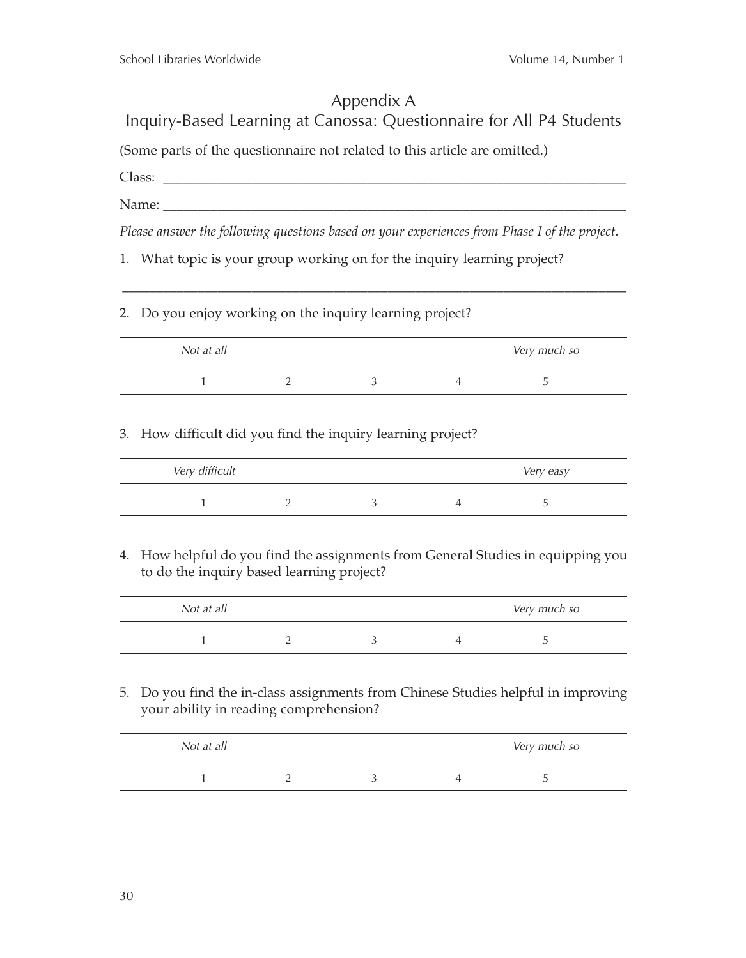## Appendix A Inquiry-Based Learning at Canossa: Questionnaire for All P4 Students

(Some parts of the questionnaire not related to this article are omitted.)

Class: \_\_\_\_\_\_\_\_\_\_\_\_\_\_\_\_\_\_\_\_\_\_\_\_\_\_\_\_\_\_\_\_\_\_\_\_\_\_\_\_\_\_\_\_\_\_\_\_\_\_\_\_\_\_\_\_\_\_\_\_\_\_\_\_\_\_\_\_

Name: \_\_\_\_\_\_\_\_\_\_\_\_\_\_\_\_\_\_\_\_\_\_\_\_\_\_\_\_\_\_\_\_\_\_\_\_\_\_\_\_\_\_\_\_\_\_\_\_\_\_\_\_\_\_\_\_\_\_\_\_\_\_\_\_\_\_\_\_

*Please answer the following questions based on your experiences from Phase I of the project.*

\_\_\_\_\_\_\_\_\_\_\_\_\_\_\_\_\_\_\_\_\_\_\_\_\_\_\_\_\_\_\_\_\_\_\_\_\_\_\_\_\_\_\_\_\_\_\_\_\_\_\_\_\_\_\_\_\_\_\_\_\_\_\_\_\_\_\_\_\_\_\_\_\_\_

- 1. What topic is your group working on for the inquiry learning project?
- 2. Do you enjoy working on the inquiry learning project?

| Not at all |  | Very much so |  |
|------------|--|--------------|--|
|            |  |              |  |

#### 3. How difficult did you find the inquiry learning project?

| Very difficult |  | Very easy |  |
|----------------|--|-----------|--|
|                |  |           |  |

4. How helpful do you find the assignments from General Studies in equipping you to do the inquiry based learning project?

| Not at all |  | Very much so |  |
|------------|--|--------------|--|
|            |  |              |  |

5. Do you find the in-class assignments from Chinese Studies helpful in improving your ability in reading comprehension?

| Not at all |  | Very much so |  |
|------------|--|--------------|--|
|            |  |              |  |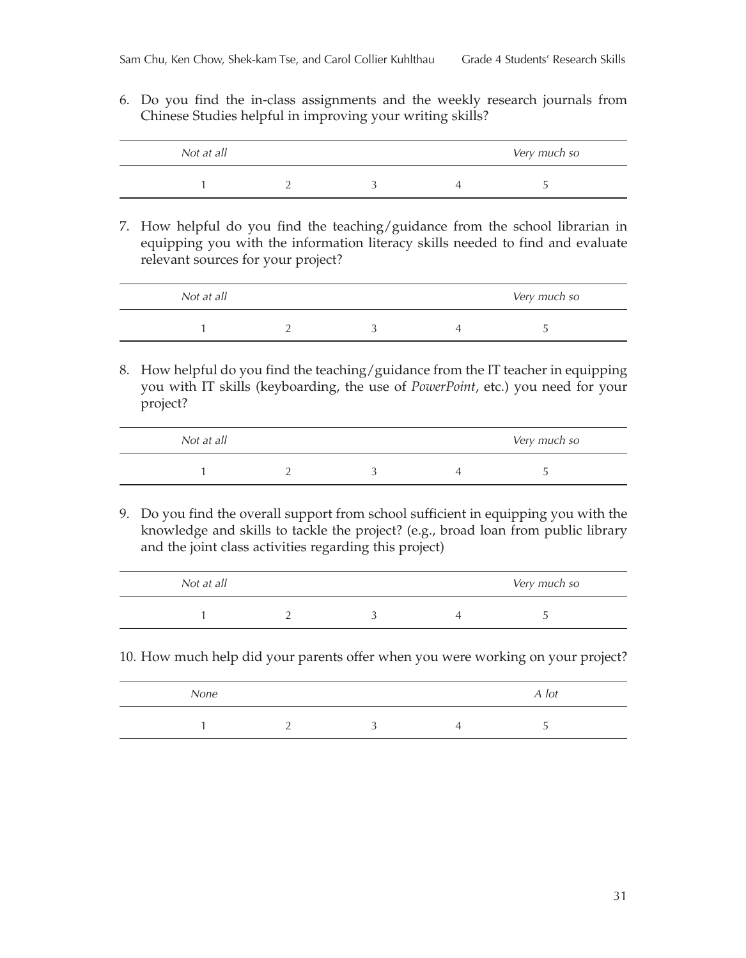6. Do you find the in-class assignments and the weekly research journals from Chinese Studies helpful in improving your writing skills?

| Not at all |  | Very much so |  |
|------------|--|--------------|--|
|            |  |              |  |

7. How helpful do you find the teaching/guidance from the school librarian in equipping you with the information literacy skills needed to find and evaluate relevant sources for your project?

| Not at all |  | Very much so |  |
|------------|--|--------------|--|
|            |  |              |  |

8. How helpful do you find the teaching/guidance from the IT teacher in equipping you with IT skills (keyboarding, the use of *PowerPoint*, etc.) you need for your project?

| Not at all |  | Very much so |
|------------|--|--------------|
|            |  |              |

9. Do you find the overall support from school sufficient in equipping you with the knowledge and skills to tackle the project? (e.g., broad loan from public library and the joint class activities regarding this project)

| Not at all |  | Very much so |
|------------|--|--------------|
|            |  |              |

10. How much help did your parents offer when you were working on your project?

| None |  | A lot |  |
|------|--|-------|--|
|      |  |       |  |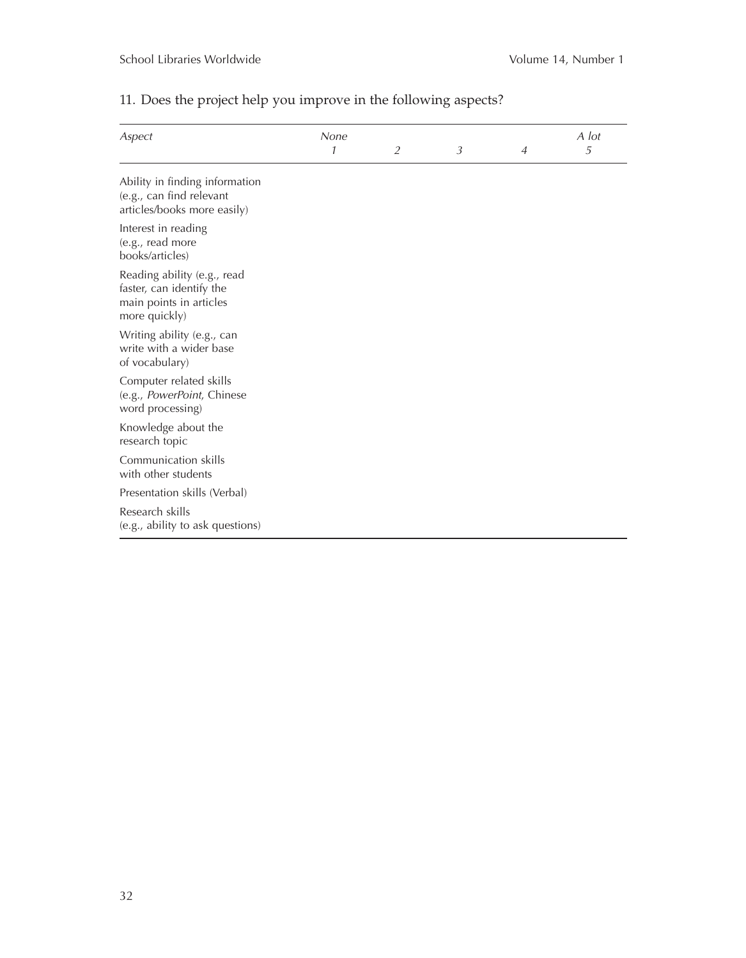| Aspect                                                                                              | None |                |   |                | A lot |
|-----------------------------------------------------------------------------------------------------|------|----------------|---|----------------|-------|
|                                                                                                     | 1    | $\overline{2}$ | 3 | $\overline{A}$ | 5     |
| Ability in finding information<br>(e.g., can find relevant<br>articles/books more easily)           |      |                |   |                |       |
| Interest in reading<br>(e.g., read more<br>books/articles)                                          |      |                |   |                |       |
| Reading ability (e.g., read<br>faster, can identify the<br>main points in articles<br>more quickly) |      |                |   |                |       |
| Writing ability (e.g., can<br>write with a wider base<br>of vocabulary)                             |      |                |   |                |       |
| Computer related skills<br>(e.g., PowerPoint, Chinese<br>word processing)                           |      |                |   |                |       |
| Knowledge about the<br>research topic                                                               |      |                |   |                |       |
| Communication skills<br>with other students                                                         |      |                |   |                |       |
| Presentation skills (Verbal)                                                                        |      |                |   |                |       |
| Research skills<br>(e.g., ability to ask questions)                                                 |      |                |   |                |       |

## 11. Does the project help you improve in the following aspects?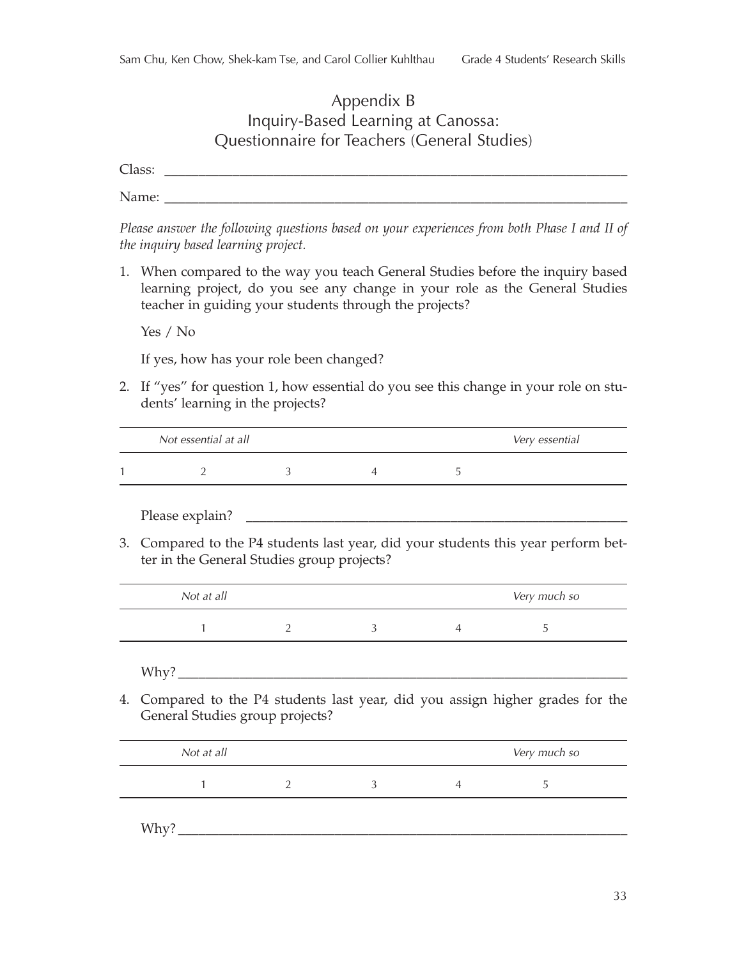## Appendix B Inquiry-Based Learning at Canossa: Questionnaire for Teachers (General Studies)

Class: \_\_\_\_\_\_\_\_\_\_\_\_\_\_\_\_\_\_\_\_\_\_\_\_\_\_\_\_\_\_\_\_\_\_\_\_\_\_\_\_\_\_\_\_\_\_\_\_\_\_\_\_\_\_\_\_\_\_\_\_\_\_\_\_\_\_\_\_

Name: \_\_\_\_\_\_\_\_\_\_\_\_\_\_\_\_\_\_\_\_\_\_\_\_\_\_\_\_\_\_\_\_\_\_\_\_\_\_\_\_\_\_\_\_\_\_\_\_\_\_\_\_\_\_\_\_\_\_\_\_\_\_\_\_\_\_\_\_

*Please answer the following questions based on your experiences from both Phase I and II of the inquiry based learning project.*

1. When compared to the way you teach General Studies before the inquiry based learning project, do you see any change in your role as the General Studies teacher in guiding your students through the projects?

Yes / No

If yes, how has your role been changed?

2. If "yes" for question 1, how essential do you see this change in your role on students' learning in the projects?

| Not essential at all |  | Very essential |
|----------------------|--|----------------|
|                      |  |                |

Please explain?

3. Compared to the P4 students last year, did your students this year perform better in the General Studies group projects?

| Not at all |  | Very much so |
|------------|--|--------------|
|            |  |              |

 $Why?$ 

4. Compared to the P4 students last year, did you assign higher grades for the General Studies group projects?

| Not at all |  | Very much so |  |
|------------|--|--------------|--|
|            |  |              |  |
|            |  |              |  |

Why?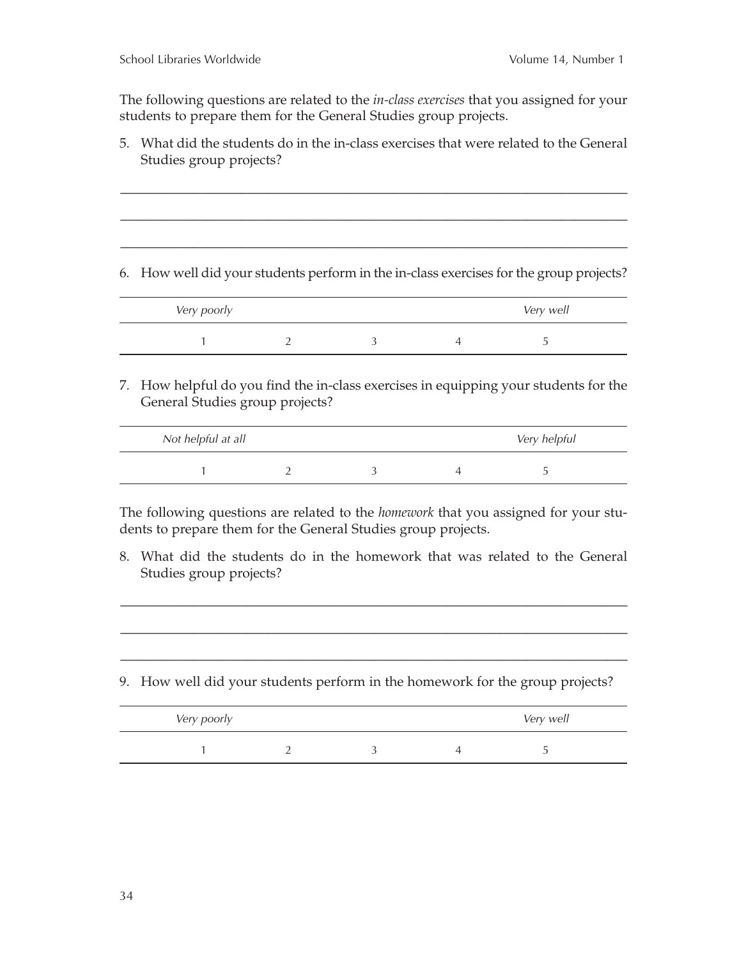The following questions are related to the *in-class exercises* that you assigned for your students to prepare them for the General Studies group projects.

5. What did the students do in the in-class exercises that were related to the General Studies group projects?

\_\_\_\_\_\_\_\_\_\_\_\_\_\_\_\_\_\_\_\_\_\_\_\_\_\_\_\_\_\_\_\_\_\_\_\_\_\_\_\_\_\_\_\_\_\_\_\_\_\_\_\_\_\_\_\_\_\_\_\_\_\_\_\_\_\_\_\_\_\_\_\_\_\_\_\_

\_\_\_\_\_\_\_\_\_\_\_\_\_\_\_\_\_\_\_\_\_\_\_\_\_\_\_\_\_\_\_\_\_\_\_\_\_\_\_\_\_\_\_\_\_\_\_\_\_\_\_\_\_\_\_\_\_\_\_\_\_\_\_\_\_\_\_\_\_\_\_\_\_\_\_\_

\_\_\_\_\_\_\_\_\_\_\_\_\_\_\_\_\_\_\_\_\_\_\_\_\_\_\_\_\_\_\_\_\_\_\_\_\_\_\_\_\_\_\_\_\_\_\_\_\_\_\_\_\_\_\_\_\_\_\_\_\_\_\_\_\_\_\_\_\_\_\_\_\_\_\_\_

6. How well did your students perform in the in-class exercises for the group projects?

| Very poorly |  | Very well |  |
|-------------|--|-----------|--|
|             |  |           |  |

7. How helpful do you find the in-class exercises in equipping your students for the General Studies group projects?

| Not helpful at all |  | Very helpful |
|--------------------|--|--------------|
|                    |  |              |

The following questions are related to the *homework* that you assigned for your students to prepare them for the General Studies group projects.

8. What did the students do in the homework that was related to the General Studies group projects?

\_\_\_\_\_\_\_\_\_\_\_\_\_\_\_\_\_\_\_\_\_\_\_\_\_\_\_\_\_\_\_\_\_\_\_\_\_\_\_\_\_\_\_\_\_\_\_\_\_\_\_\_\_\_\_\_\_\_\_\_\_\_\_\_\_\_\_\_\_\_\_\_\_\_\_\_

\_\_\_\_\_\_\_\_\_\_\_\_\_\_\_\_\_\_\_\_\_\_\_\_\_\_\_\_\_\_\_\_\_\_\_\_\_\_\_\_\_\_\_\_\_\_\_\_\_\_\_\_\_\_\_\_\_\_\_\_\_\_\_\_\_\_\_\_\_\_\_\_\_\_\_\_

\_\_\_\_\_\_\_\_\_\_\_\_\_\_\_\_\_\_\_\_\_\_\_\_\_\_\_\_\_\_\_\_\_\_\_\_\_\_\_\_\_\_\_\_\_\_\_\_\_\_\_\_\_\_\_\_\_\_\_\_\_\_\_\_\_\_\_\_\_\_\_\_\_\_\_\_

9. How well did your students perform in the homework for the group projects?

| Very poorly |  | Very well |
|-------------|--|-----------|
|             |  |           |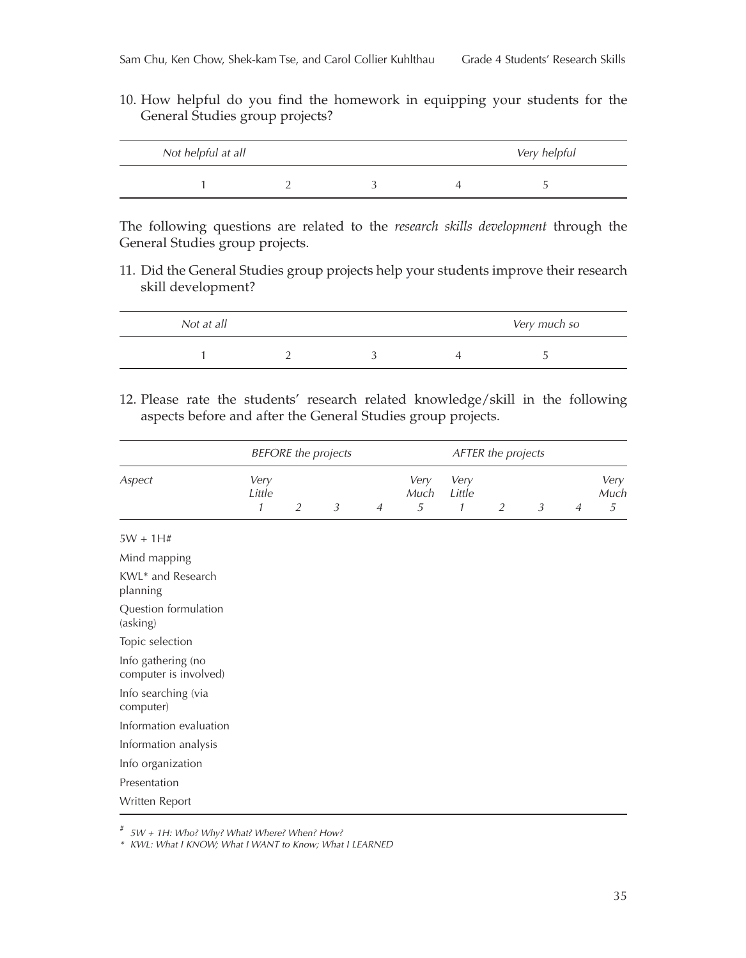10. How helpful do you find the homework in equipping your students for the General Studies group projects?

| Not helpful at all |  | Very helpful |
|--------------------|--|--------------|
|                    |  |              |

The following questions are related to the *research skills development* through the General Studies group projects.

11. Did the General Studies group projects help your students improve their research skill development?

| Not at all |  | Very much so |
|------------|--|--------------|
|            |  |              |

12. Please rate the students' research related knowledge/skill in the following aspects before and after the General Studies group projects.

|                                             |                                 |                | <b>BEFORE</b> the projects |                |                   |                     | AFTER the projects |   |                |                            |
|---------------------------------------------|---------------------------------|----------------|----------------------------|----------------|-------------------|---------------------|--------------------|---|----------------|----------------------------|
| Aspect                                      | Very<br>Little<br>$\mathcal{I}$ | $\overline{2}$ | $\mathfrak{Z}$             | $\overline{A}$ | Very<br>Much<br>5 | Very<br>Little<br>1 | $\overline{2}$     | 3 | $\overline{A}$ | Very<br>Much<br>$\sqrt{5}$ |
| $5W + 1H#$                                  |                                 |                |                            |                |                   |                     |                    |   |                |                            |
| Mind mapping                                |                                 |                |                            |                |                   |                     |                    |   |                |                            |
| KWL* and Research<br>planning               |                                 |                |                            |                |                   |                     |                    |   |                |                            |
| Question formulation<br>(asking)            |                                 |                |                            |                |                   |                     |                    |   |                |                            |
| Topic selection                             |                                 |                |                            |                |                   |                     |                    |   |                |                            |
| Info gathering (no<br>computer is involved) |                                 |                |                            |                |                   |                     |                    |   |                |                            |
| Info searching (via<br>computer)            |                                 |                |                            |                |                   |                     |                    |   |                |                            |
| Information evaluation                      |                                 |                |                            |                |                   |                     |                    |   |                |                            |
| Information analysis                        |                                 |                |                            |                |                   |                     |                    |   |                |                            |
| Info organization                           |                                 |                |                            |                |                   |                     |                    |   |                |                            |
| Presentation                                |                                 |                |                            |                |                   |                     |                    |   |                |                            |
| Written Report                              |                                 |                |                            |                |                   |                     |                    |   |                |                            |

# *5W + 1H: Who? Why? What? Where? When? How?*

*\* KWL: What I KNOW; What I WANT to Know; What I LEARNED*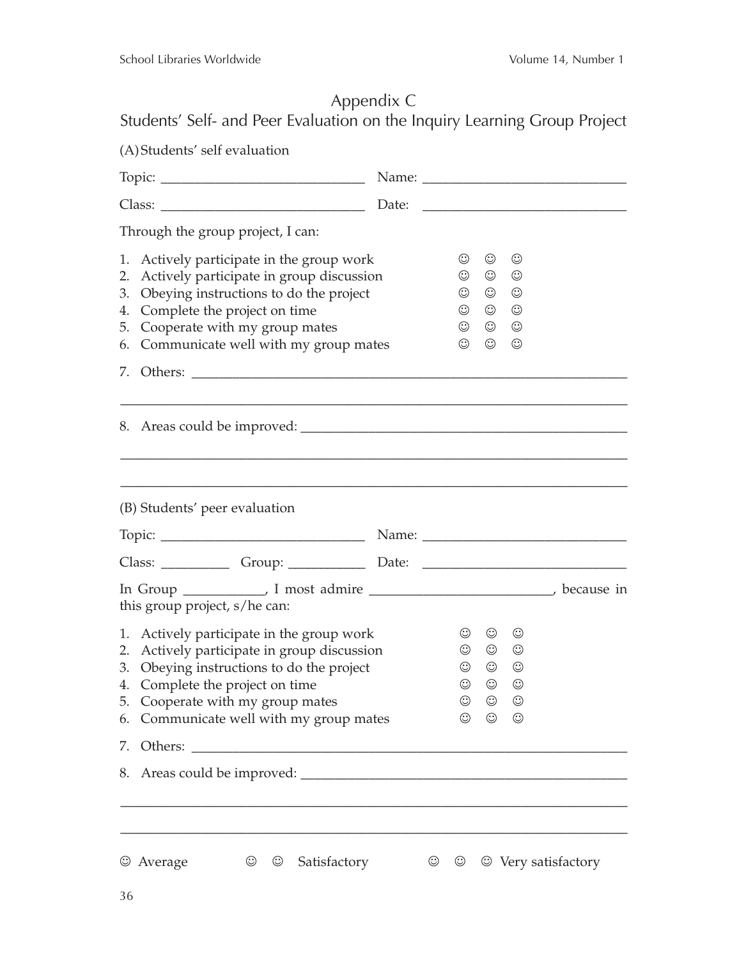# Appendix C

Students' Self- and Peer Evaluation on the Inquiry Learning Group Project

| (A) Students' self evaluation                                                                                                                                                                                                                                       |                                                                               |                                                                                        |                                                                                                           |                     |
|---------------------------------------------------------------------------------------------------------------------------------------------------------------------------------------------------------------------------------------------------------------------|-------------------------------------------------------------------------------|----------------------------------------------------------------------------------------|-----------------------------------------------------------------------------------------------------------|---------------------|
|                                                                                                                                                                                                                                                                     |                                                                               |                                                                                        |                                                                                                           |                     |
| Class:                                                                                                                                                                                                                                                              |                                                                               |                                                                                        |                                                                                                           |                     |
| Through the group project, I can:                                                                                                                                                                                                                                   |                                                                               |                                                                                        |                                                                                                           |                     |
| 1. Actively participate in the group work<br>Actively participate in group discussion<br>2.<br>Obeying instructions to do the project<br>3.<br>Complete the project on time<br>4.<br>Cooperate with my group mates<br>5.<br>6. Communicate well with my group mates | $_{\odot}$<br>$_{\odot}$<br>$\odot$<br>$_{\odot}$<br>$_{\odot}$<br>$_{\odot}$ | $_{\mathord{\odot}}$<br>$_{\mathbb{O}}$<br>$\odot$<br>$\odot$<br>$\odot$<br>$_{\odot}$ | $_{\mathord{\odot}}$<br>$_{\mathord{\odot}}$<br>$_{\odot}$<br>$_{\odot}$<br>$_{\mathbb{O}}$<br>$_{\odot}$ |                     |
|                                                                                                                                                                                                                                                                     |                                                                               |                                                                                        |                                                                                                           |                     |
| (B) Students' peer evaluation                                                                                                                                                                                                                                       |                                                                               |                                                                                        |                                                                                                           |                     |
| Class: ________________Group: _________________Date: ____________________________                                                                                                                                                                                   |                                                                               |                                                                                        |                                                                                                           |                     |
| In Group ______________, I most admire ____________________________, because in<br>this group project, s/he can:                                                                                                                                                    |                                                                               |                                                                                        |                                                                                                           |                     |
| 1. Actively participate in the group work<br>2. Actively participate in group discussion<br>3. Obeying instructions to do the project<br>Complete the project on time<br>4.<br>Cooperate with my group mates<br>5.<br>Communicate well with my group mates<br>6.    | $\odot$<br>$\odot$<br>$\odot$<br>$_{\odot}$<br>$_{\mathord{\odot}}$           | $\odot$<br>$\odot$<br>$\circledcirc$<br>$\odot$<br>$_{\odot}$<br>$_{\odot}$            | $_{\mathbb{O}}$<br>$_{\mathord{\odot}}$<br>$\odot$<br>$_{\odot}$<br>$\odot$<br>$_{\mathord{\odot}}$       |                     |
| Others:<br>7.                                                                                                                                                                                                                                                       |                                                                               |                                                                                        |                                                                                                           |                     |
|                                                                                                                                                                                                                                                                     |                                                                               |                                                                                        |                                                                                                           |                     |
| © Average<br>$_{\mathbb{O}}$<br>Satisfactory<br>$_{\odot}$                                                                                                                                                                                                          | $_{\mathbb{O}}$<br>$_{\mathbb{O}}$                                            |                                                                                        |                                                                                                           | © Very satisfactory |